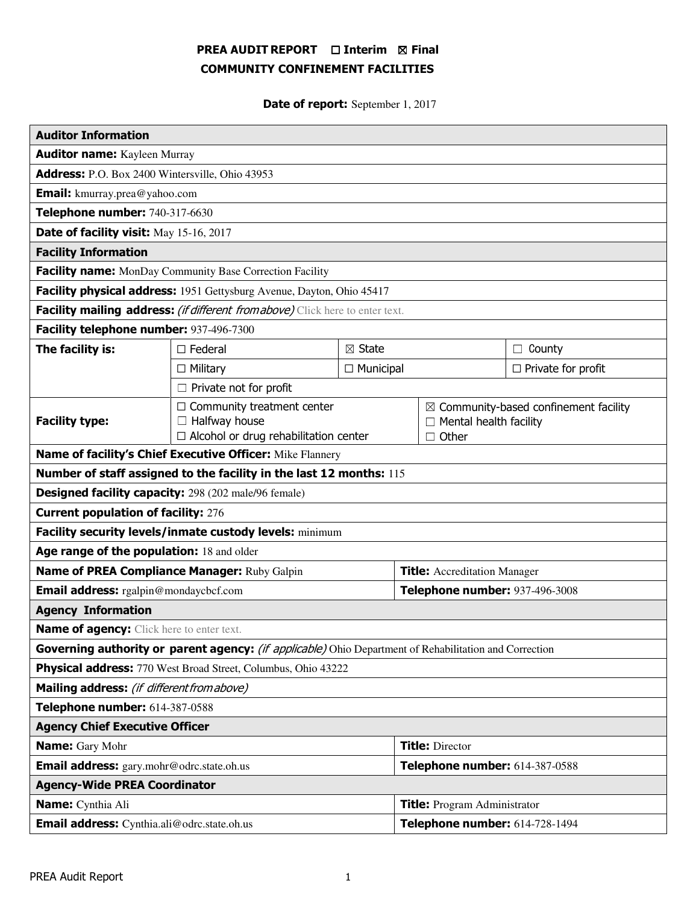# PREA AUDIT REPORT □ Interim 図 Final COMMUNITY CONFINEMENT FACILITIES

Date of report: September 1, 2017

| <b>Auditor Information</b>                                                                             |                                                                                                           |                   |                                     |                                                                                                   |                  |  |
|--------------------------------------------------------------------------------------------------------|-----------------------------------------------------------------------------------------------------------|-------------------|-------------------------------------|---------------------------------------------------------------------------------------------------|------------------|--|
| <b>Auditor name:</b> Kayleen Murray                                                                    |                                                                                                           |                   |                                     |                                                                                                   |                  |  |
| Address: P.O. Box 2400 Wintersville, Ohio 43953                                                        |                                                                                                           |                   |                                     |                                                                                                   |                  |  |
| <b>Email:</b> kmurray.prea@yahoo.com                                                                   |                                                                                                           |                   |                                     |                                                                                                   |                  |  |
| Telephone number: 740-317-6630                                                                         |                                                                                                           |                   |                                     |                                                                                                   |                  |  |
| Date of facility visit: May 15-16, 2017                                                                |                                                                                                           |                   |                                     |                                                                                                   |                  |  |
| <b>Facility Information</b>                                                                            |                                                                                                           |                   |                                     |                                                                                                   |                  |  |
| Facility name: MonDay Community Base Correction Facility                                               |                                                                                                           |                   |                                     |                                                                                                   |                  |  |
| Facility physical address: 1951 Gettysburg Avenue, Dayton, Ohio 45417                                  |                                                                                                           |                   |                                     |                                                                                                   |                  |  |
| Facility mailing address: (if different from above) Click here to enter text.                          |                                                                                                           |                   |                                     |                                                                                                   |                  |  |
| Facility telephone number: 937-496-7300                                                                |                                                                                                           |                   |                                     |                                                                                                   |                  |  |
| The facility is:                                                                                       | $\Box$ Federal                                                                                            | $\boxtimes$ State |                                     |                                                                                                   | County<br>$\Box$ |  |
|                                                                                                        | $\Box$ Municipal<br>$\Box$ Military                                                                       |                   |                                     | $\Box$ Private for profit                                                                         |                  |  |
|                                                                                                        | $\Box$ Private not for profit                                                                             |                   |                                     |                                                                                                   |                  |  |
| <b>Facility type:</b>                                                                                  | $\Box$ Community treatment center<br>$\Box$ Halfway house<br>$\Box$ Alcohol or drug rehabilitation center |                   |                                     | $\boxtimes$ Community-based confinement facility<br>$\Box$ Mental health facility<br>$\Box$ Other |                  |  |
| Name of facility's Chief Executive Officer: Mike Flannery                                              |                                                                                                           |                   |                                     |                                                                                                   |                  |  |
| Number of staff assigned to the facility in the last 12 months: 115                                    |                                                                                                           |                   |                                     |                                                                                                   |                  |  |
| <b>Designed facility capacity:</b> 298 (202 male/96 female)                                            |                                                                                                           |                   |                                     |                                                                                                   |                  |  |
| <b>Current population of facility: 276</b>                                                             |                                                                                                           |                   |                                     |                                                                                                   |                  |  |
| Facility security levels/inmate custody levels: minimum                                                |                                                                                                           |                   |                                     |                                                                                                   |                  |  |
| Age range of the population: 18 and older                                                              |                                                                                                           |                   |                                     |                                                                                                   |                  |  |
| Name of PREA Compliance Manager: Ruby Galpin                                                           |                                                                                                           |                   | <b>Title:</b> Accreditation Manager |                                                                                                   |                  |  |
| <b>Email address:</b> rgalpin@mondaycbcf.com                                                           |                                                                                                           |                   | Telephone number: 937-496-3008      |                                                                                                   |                  |  |
| <b>Agency Information</b>                                                                              |                                                                                                           |                   |                                     |                                                                                                   |                  |  |
| <b>Name of agency:</b> Click here to enter text.                                                       |                                                                                                           |                   |                                     |                                                                                                   |                  |  |
| Governing authority or parent agency: (if applicable) Ohio Department of Rehabilitation and Correction |                                                                                                           |                   |                                     |                                                                                                   |                  |  |
| Physical address: 770 West Broad Street, Columbus, Ohio 43222                                          |                                                                                                           |                   |                                     |                                                                                                   |                  |  |
| Mailing address: (if different from above)                                                             |                                                                                                           |                   |                                     |                                                                                                   |                  |  |
| Telephone number: 614-387-0588                                                                         |                                                                                                           |                   |                                     |                                                                                                   |                  |  |
| <b>Agency Chief Executive Officer</b>                                                                  |                                                                                                           |                   |                                     |                                                                                                   |                  |  |
| <b>Name:</b> Gary Mohr                                                                                 |                                                                                                           |                   | <b>Title: Director</b>              |                                                                                                   |                  |  |
| Email address: gary.mohr@odrc.state.oh.us                                                              |                                                                                                           |                   | Telephone number: 614-387-0588      |                                                                                                   |                  |  |
| <b>Agency-Wide PREA Coordinator</b>                                                                    |                                                                                                           |                   |                                     |                                                                                                   |                  |  |
| Name: Cynthia Ali                                                                                      |                                                                                                           |                   | <b>Title:</b> Program Administrator |                                                                                                   |                  |  |
| Email address: Cynthia.ali@odrc.state.oh.us                                                            |                                                                                                           |                   | Telephone number: 614-728-1494      |                                                                                                   |                  |  |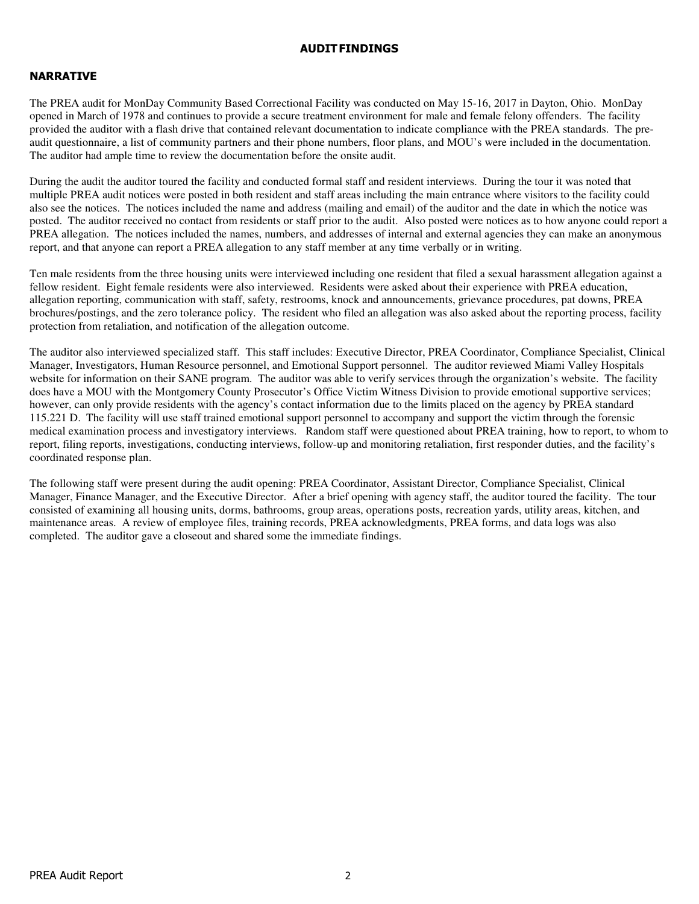#### AUDIT FINDINGS

## NARRATIVE

The PREA audit for MonDay Community Based Correctional Facility was conducted on May 15-16, 2017 in Dayton, Ohio. MonDay opened in March of 1978 and continues to provide a secure treatment environment for male and female felony offenders. The facility provided the auditor with a flash drive that contained relevant documentation to indicate compliance with the PREA standards. The preaudit questionnaire, a list of community partners and their phone numbers, floor plans, and MOU's were included in the documentation. The auditor had ample time to review the documentation before the onsite audit.

During the audit the auditor toured the facility and conducted formal staff and resident interviews. During the tour it was noted that multiple PREA audit notices were posted in both resident and staff areas including the main entrance where visitors to the facility could also see the notices. The notices included the name and address (mailing and email) of the auditor and the date in which the notice was posted. The auditor received no contact from residents or staff prior to the audit. Also posted were notices as to how anyone could report a PREA allegation. The notices included the names, numbers, and addresses of internal and external agencies they can make an anonymous report, and that anyone can report a PREA allegation to any staff member at any time verbally or in writing.

Ten male residents from the three housing units were interviewed including one resident that filed a sexual harassment allegation against a fellow resident. Eight female residents were also interviewed. Residents were asked about their experience with PREA education, allegation reporting, communication with staff, safety, restrooms, knock and announcements, grievance procedures, pat downs, PREA brochures/postings, and the zero tolerance policy. The resident who filed an allegation was also asked about the reporting process, facility protection from retaliation, and notification of the allegation outcome.

The auditor also interviewed specialized staff. This staff includes: Executive Director, PREA Coordinator, Compliance Specialist, Clinical Manager, Investigators, Human Resource personnel, and Emotional Support personnel. The auditor reviewed Miami Valley Hospitals website for information on their SANE program. The auditor was able to verify services through the organization's website. The facility does have a MOU with the Montgomery County Prosecutor's Office Victim Witness Division to provide emotional supportive services; however, can only provide residents with the agency's contact information due to the limits placed on the agency by PREA standard 115.221 D. The facility will use staff trained emotional support personnel to accompany and support the victim through the forensic medical examination process and investigatory interviews. Random staff were questioned about PREA training, how to report, to whom to report, filing reports, investigations, conducting interviews, follow-up and monitoring retaliation, first responder duties, and the facility's coordinated response plan.

The following staff were present during the audit opening: PREA Coordinator, Assistant Director, Compliance Specialist, Clinical Manager, Finance Manager, and the Executive Director. After a brief opening with agency staff, the auditor toured the facility. The tour consisted of examining all housing units, dorms, bathrooms, group areas, operations posts, recreation yards, utility areas, kitchen, and maintenance areas. A review of employee files, training records, PREA acknowledgments, PREA forms, and data logs was also completed. The auditor gave a closeout and shared some the immediate findings.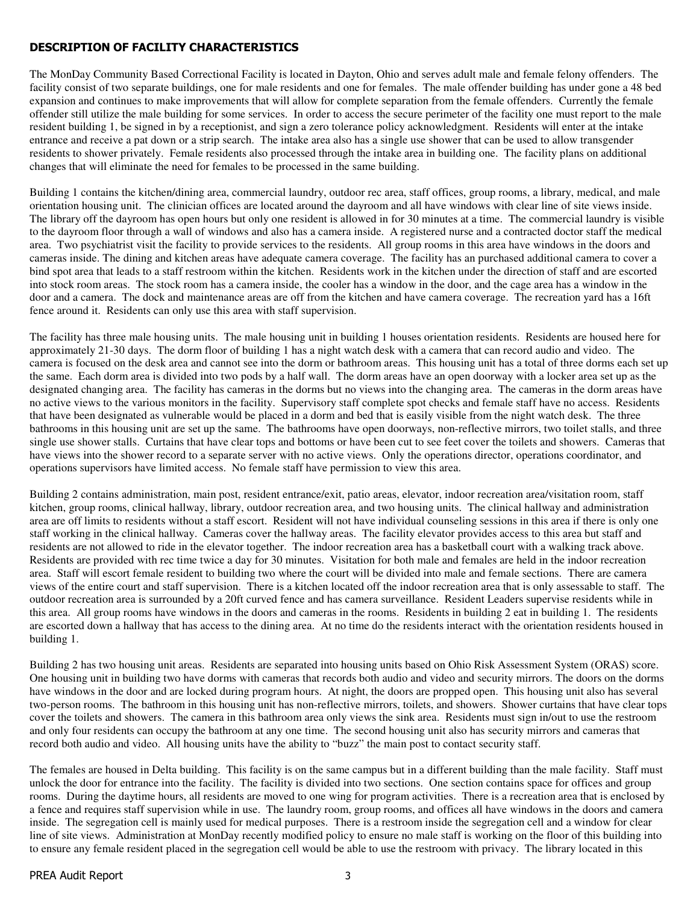# DESCRIPTION OF FACILITY CHARACTERISTICS

The MonDay Community Based Correctional Facility is located in Dayton, Ohio and serves adult male and female felony offenders. The facility consist of two separate buildings, one for male residents and one for females. The male offender building has under gone a 48 bed expansion and continues to make improvements that will allow for complete separation from the female offenders. Currently the female offender still utilize the male building for some services. In order to access the secure perimeter of the facility one must report to the male resident building 1, be signed in by a receptionist, and sign a zero tolerance policy acknowledgment. Residents will enter at the intake entrance and receive a pat down or a strip search. The intake area also has a single use shower that can be used to allow transgender residents to shower privately. Female residents also processed through the intake area in building one. The facility plans on additional changes that will eliminate the need for females to be processed in the same building.

Building 1 contains the kitchen/dining area, commercial laundry, outdoor rec area, staff offices, group rooms, a library, medical, and male orientation housing unit. The clinician offices are located around the dayroom and all have windows with clear line of site views inside. The library off the dayroom has open hours but only one resident is allowed in for 30 minutes at a time. The commercial laundry is visible to the dayroom floor through a wall of windows and also has a camera inside. A registered nurse and a contracted doctor staff the medical area. Two psychiatrist visit the facility to provide services to the residents. All group rooms in this area have windows in the doors and cameras inside. The dining and kitchen areas have adequate camera coverage. The facility has an purchased additional camera to cover a bind spot area that leads to a staff restroom within the kitchen. Residents work in the kitchen under the direction of staff and are escorted into stock room areas. The stock room has a camera inside, the cooler has a window in the door, and the cage area has a window in the door and a camera. The dock and maintenance areas are off from the kitchen and have camera coverage. The recreation yard has a 16ft fence around it. Residents can only use this area with staff supervision.

The facility has three male housing units. The male housing unit in building 1 houses orientation residents. Residents are housed here for approximately 21-30 days. The dorm floor of building 1 has a night watch desk with a camera that can record audio and video. The camera is focused on the desk area and cannot see into the dorm or bathroom areas. This housing unit has a total of three dorms each set up the same. Each dorm area is divided into two pods by a half wall. The dorm areas have an open doorway with a locker area set up as the designated changing area. The facility has cameras in the dorms but no views into the changing area. The cameras in the dorm areas have no active views to the various monitors in the facility. Supervisory staff complete spot checks and female staff have no access. Residents that have been designated as vulnerable would be placed in a dorm and bed that is easily visible from the night watch desk. The three bathrooms in this housing unit are set up the same. The bathrooms have open doorways, non-reflective mirrors, two toilet stalls, and three single use shower stalls. Curtains that have clear tops and bottoms or have been cut to see feet cover the toilets and showers. Cameras that have views into the shower record to a separate server with no active views. Only the operations director, operations coordinator, and operations supervisors have limited access. No female staff have permission to view this area.

Building 2 contains administration, main post, resident entrance/exit, patio areas, elevator, indoor recreation area/visitation room, staff kitchen, group rooms, clinical hallway, library, outdoor recreation area, and two housing units. The clinical hallway and administration area are off limits to residents without a staff escort. Resident will not have individual counseling sessions in this area if there is only one staff working in the clinical hallway. Cameras cover the hallway areas. The facility elevator provides access to this area but staff and residents are not allowed to ride in the elevator together. The indoor recreation area has a basketball court with a walking track above. Residents are provided with rec time twice a day for 30 minutes. Visitation for both male and females are held in the indoor recreation area. Staff will escort female resident to building two where the court will be divided into male and female sections. There are camera views of the entire court and staff supervision. There is a kitchen located off the indoor recreation area that is only assessable to staff. The outdoor recreation area is surrounded by a 20ft curved fence and has camera surveillance. Resident Leaders supervise residents while in this area. All group rooms have windows in the doors and cameras in the rooms. Residents in building 2 eat in building 1. The residents are escorted down a hallway that has access to the dining area. At no time do the residents interact with the orientation residents housed in building 1.

Building 2 has two housing unit areas. Residents are separated into housing units based on Ohio Risk Assessment System (ORAS) score. One housing unit in building two have dorms with cameras that records both audio and video and security mirrors. The doors on the dorms have windows in the door and are locked during program hours. At night, the doors are propped open. This housing unit also has several two-person rooms. The bathroom in this housing unit has non-reflective mirrors, toilets, and showers. Shower curtains that have clear tops cover the toilets and showers. The camera in this bathroom area only views the sink area. Residents must sign in/out to use the restroom and only four residents can occupy the bathroom at any one time. The second housing unit also has security mirrors and cameras that record both audio and video. All housing units have the ability to "buzz" the main post to contact security staff.

The females are housed in Delta building. This facility is on the same campus but in a different building than the male facility. Staff must unlock the door for entrance into the facility. The facility is divided into two sections. One section contains space for offices and group rooms. During the daytime hours, all residents are moved to one wing for program activities. There is a recreation area that is enclosed by a fence and requires staff supervision while in use. The laundry room, group rooms, and offices all have windows in the doors and camera inside. The segregation cell is mainly used for medical purposes. There is a restroom inside the segregation cell and a window for clear line of site views. Administration at MonDay recently modified policy to ensure no male staff is working on the floor of this building into to ensure any female resident placed in the segregation cell would be able to use the restroom with privacy. The library located in this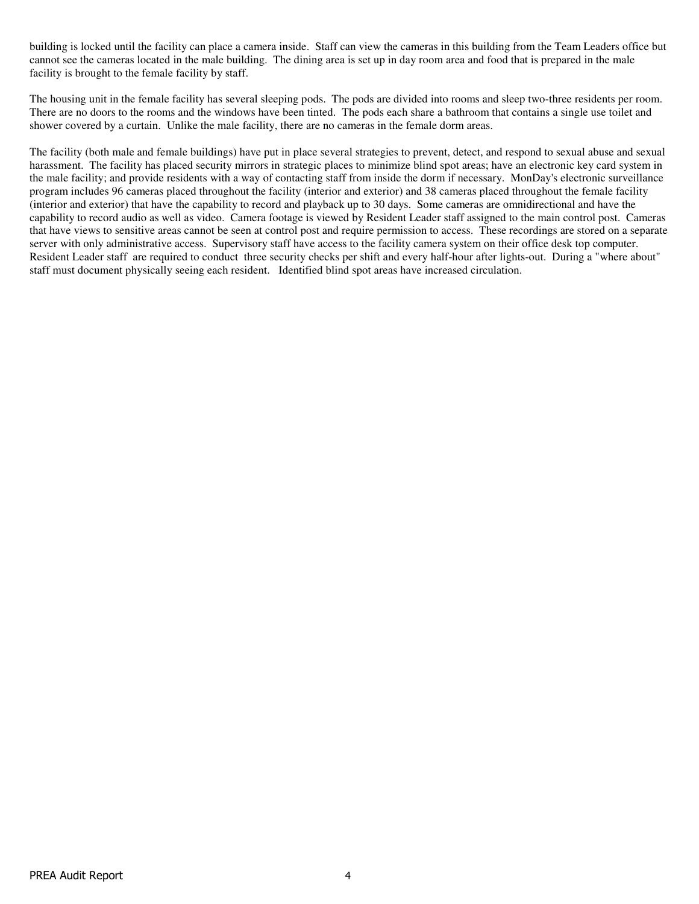building is locked until the facility can place a camera inside. Staff can view the cameras in this building from the Team Leaders office but cannot see the cameras located in the male building. The dining area is set up in day room area and food that is prepared in the male facility is brought to the female facility by staff.

The housing unit in the female facility has several sleeping pods. The pods are divided into rooms and sleep two-three residents per room. There are no doors to the rooms and the windows have been tinted. The pods each share a bathroom that contains a single use toilet and shower covered by a curtain. Unlike the male facility, there are no cameras in the female dorm areas.

The facility (both male and female buildings) have put in place several strategies to prevent, detect, and respond to sexual abuse and sexual harassment. The facility has placed security mirrors in strategic places to minimize blind spot areas; have an electronic key card system in the male facility; and provide residents with a way of contacting staff from inside the dorm if necessary. MonDay's electronic surveillance program includes 96 cameras placed throughout the facility (interior and exterior) and 38 cameras placed throughout the female facility (interior and exterior) that have the capability to record and playback up to 30 days. Some cameras are omnidirectional and have the capability to record audio as well as video. Camera footage is viewed by Resident Leader staff assigned to the main control post. Cameras that have views to sensitive areas cannot be seen at control post and require permission to access. These recordings are stored on a separate server with only administrative access. Supervisory staff have access to the facility camera system on their office desk top computer. Resident Leader staff are required to conduct three security checks per shift and every half-hour after lights-out. During a "where about" staff must document physically seeing each resident. Identified blind spot areas have increased circulation.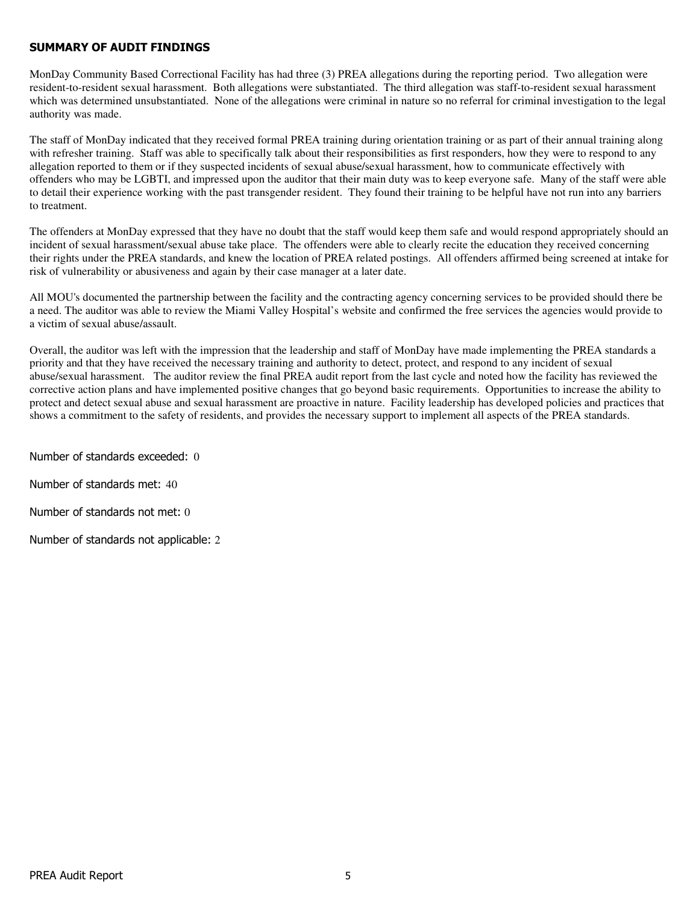#### SUMMARY OF AUDIT FINDINGS

MonDay Community Based Correctional Facility has had three (3) PREA allegations during the reporting period. Two allegation were resident-to-resident sexual harassment. Both allegations were substantiated. The third allegation was staff-to-resident sexual harassment which was determined unsubstantiated. None of the allegations were criminal in nature so no referral for criminal investigation to the legal authority was made.

The staff of MonDay indicated that they received formal PREA training during orientation training or as part of their annual training along with refresher training. Staff was able to specifically talk about their responsibilities as first responders, how they were to respond to any allegation reported to them or if they suspected incidents of sexual abuse/sexual harassment, how to communicate effectively with offenders who may be LGBTI, and impressed upon the auditor that their main duty was to keep everyone safe. Many of the staff were able to detail their experience working with the past transgender resident. They found their training to be helpful have not run into any barriers to treatment.

The offenders at MonDay expressed that they have no doubt that the staff would keep them safe and would respond appropriately should an incident of sexual harassment/sexual abuse take place. The offenders were able to clearly recite the education they received concerning their rights under the PREA standards, and knew the location of PREA related postings. All offenders affirmed being screened at intake for risk of vulnerability or abusiveness and again by their case manager at a later date.

All MOU's documented the partnership between the facility and the contracting agency concerning services to be provided should there be a need. The auditor was able to review the Miami Valley Hospital's website and confirmed the free services the agencies would provide to a victim of sexual abuse/assault.

Overall, the auditor was left with the impression that the leadership and staff of MonDay have made implementing the PREA standards a priority and that they have received the necessary training and authority to detect, protect, and respond to any incident of sexual abuse/sexual harassment. The auditor review the final PREA audit report from the last cycle and noted how the facility has reviewed the corrective action plans and have implemented positive changes that go beyond basic requirements. Opportunities to increase the ability to protect and detect sexual abuse and sexual harassment are proactive in nature. Facility leadership has developed policies and practices that shows a commitment to the safety of residents, and provides the necessary support to implement all aspects of the PREA standards.

Number of standards exceeded: 0

Number of standards met: 40

Number of standards not met: 0

Number of standards not applicable: 2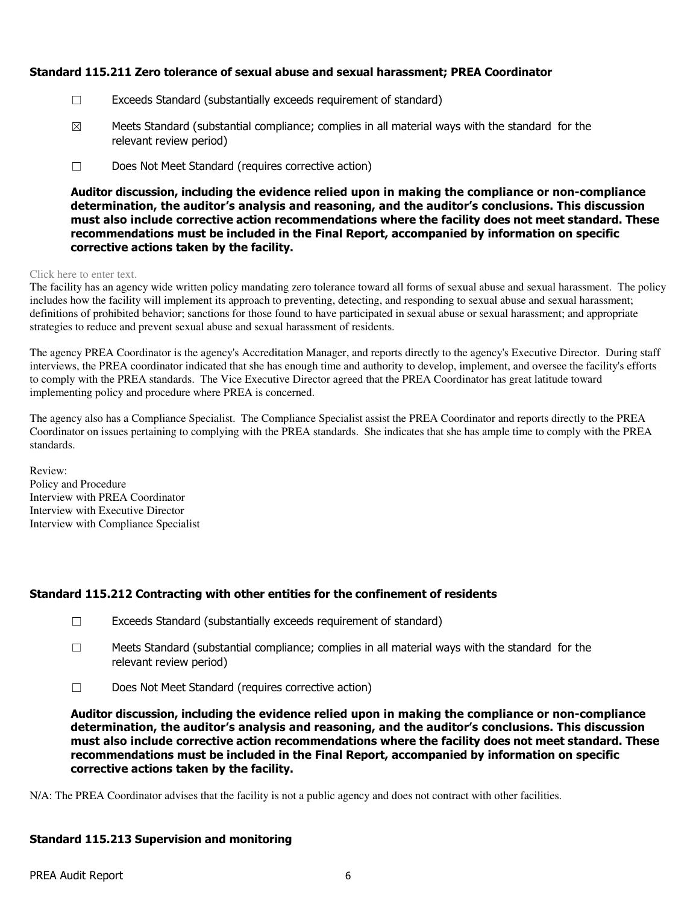## Standard 115.211 Zero tolerance of sexual abuse and sexual harassment; PREA Coordinator

- ☐ Exceeds Standard (substantially exceeds requirement of standard)
- $\boxtimes$  Meets Standard (substantial compliance; complies in all material ways with the standard for the relevant review period)
- ☐ Does Not Meet Standard (requires corrective action)

Auditor discussion, including the evidence relied upon in making the compliance or non-compliance determination, the auditor's analysis and reasoning, and the auditor's conclusions. This discussion must also include corrective action recommendations where the facility does not meet standard. These recommendations must be included in the Final Report, accompanied by information on specific corrective actions taken by the facility.

#### Click here to enter text.

The facility has an agency wide written policy mandating zero tolerance toward all forms of sexual abuse and sexual harassment. The policy includes how the facility will implement its approach to preventing, detecting, and responding to sexual abuse and sexual harassment; definitions of prohibited behavior; sanctions for those found to have participated in sexual abuse or sexual harassment; and appropriate strategies to reduce and prevent sexual abuse and sexual harassment of residents.

The agency PREA Coordinator is the agency's Accreditation Manager, and reports directly to the agency's Executive Director. During staff interviews, the PREA coordinator indicated that she has enough time and authority to develop, implement, and oversee the facility's efforts to comply with the PREA standards. The Vice Executive Director agreed that the PREA Coordinator has great latitude toward implementing policy and procedure where PREA is concerned.

The agency also has a Compliance Specialist. The Compliance Specialist assist the PREA Coordinator and reports directly to the PREA Coordinator on issues pertaining to complying with the PREA standards. She indicates that she has ample time to comply with the PREA standards.

Review: Policy and Procedure Interview with PREA Coordinator Interview with Executive Director Interview with Compliance Specialist

# Standard 115.212 Contracting with other entities for the confinement of residents

- ☐ Exceeds Standard (substantially exceeds requirement of standard)
- $\square$  Meets Standard (substantial compliance; complies in all material ways with the standard for the relevant review period)
- ☐ Does Not Meet Standard (requires corrective action)

Auditor discussion, including the evidence relied upon in making the compliance or non-compliance determination, the auditor's analysis and reasoning, and the auditor's conclusions. This discussion must also include corrective action recommendations where the facility does not meet standard. These recommendations must be included in the Final Report, accompanied by information on specific corrective actions taken by the facility.

N/A: The PREA Coordinator advises that the facility is not a public agency and does not contract with other facilities.

## Standard 115.213 Supervision and monitoring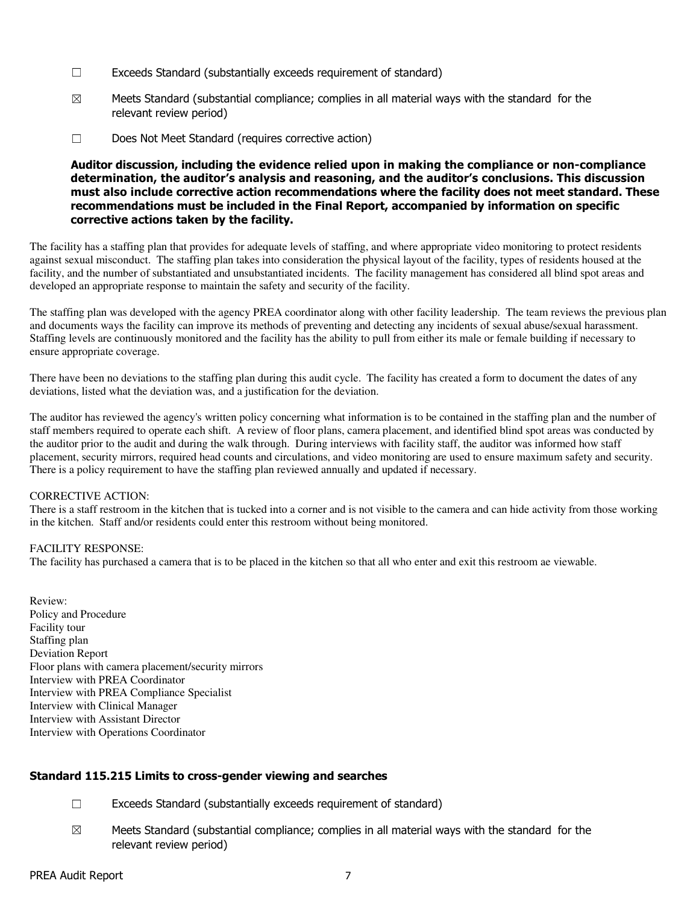- ☐ Exceeds Standard (substantially exceeds requirement of standard)
- $\boxtimes$  Meets Standard (substantial compliance; complies in all material ways with the standard for the relevant review period)
- ☐ Does Not Meet Standard (requires corrective action)

## Auditor discussion, including the evidence relied upon in making the compliance or non-compliance determination, the auditor's analysis and reasoning, and the auditor's conclusions. This discussion must also include corrective action recommendations where the facility does not meet standard. These recommendations must be included in the Final Report, accompanied by information on specific corrective actions taken by the facility.

The facility has a staffing plan that provides for adequate levels of staffing, and where appropriate video monitoring to protect residents against sexual misconduct. The staffing plan takes into consideration the physical layout of the facility, types of residents housed at the facility, and the number of substantiated and unsubstantiated incidents. The facility management has considered all blind spot areas and developed an appropriate response to maintain the safety and security of the facility.

The staffing plan was developed with the agency PREA coordinator along with other facility leadership. The team reviews the previous plan and documents ways the facility can improve its methods of preventing and detecting any incidents of sexual abuse/sexual harassment. Staffing levels are continuously monitored and the facility has the ability to pull from either its male or female building if necessary to ensure appropriate coverage.

There have been no deviations to the staffing plan during this audit cycle. The facility has created a form to document the dates of any deviations, listed what the deviation was, and a justification for the deviation.

The auditor has reviewed the agency's written policy concerning what information is to be contained in the staffing plan and the number of staff members required to operate each shift. A review of floor plans, camera placement, and identified blind spot areas was conducted by the auditor prior to the audit and during the walk through. During interviews with facility staff, the auditor was informed how staff placement, security mirrors, required head counts and circulations, and video monitoring are used to ensure maximum safety and security. There is a policy requirement to have the staffing plan reviewed annually and updated if necessary.

#### CORRECTIVE ACTION:

There is a staff restroom in the kitchen that is tucked into a corner and is not visible to the camera and can hide activity from those working in the kitchen. Staff and/or residents could enter this restroom without being monitored.

#### FACILITY RESPONSE:

The facility has purchased a camera that is to be placed in the kitchen so that all who enter and exit this restroom ae viewable.

Review: Policy and Procedure Facility tour Staffing plan Deviation Report Floor plans with camera placement/security mirrors Interview with PREA Coordinator Interview with PREA Compliance Specialist Interview with Clinical Manager Interview with Assistant Director Interview with Operations Coordinator

## Standard 115.215 Limits to cross-gender viewing and searches

- ☐ Exceeds Standard (substantially exceeds requirement of standard)
- $\boxtimes$  Meets Standard (substantial compliance; complies in all material ways with the standard for the relevant review period)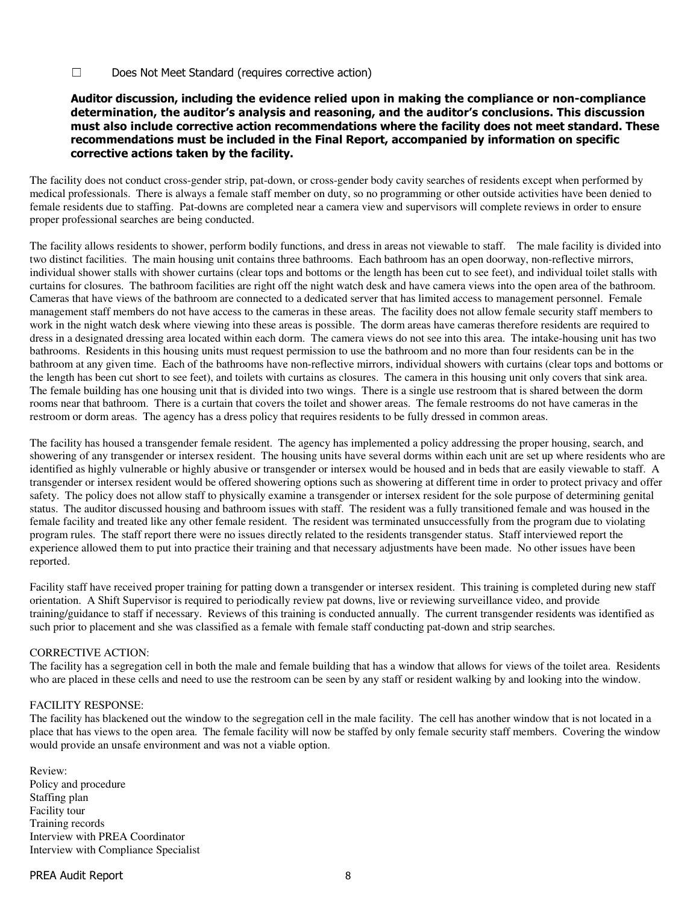☐ Does Not Meet Standard (requires corrective action)

#### Auditor discussion, including the evidence relied upon in making the compliance or non-compliance determination, the auditor's analysis and reasoning, and the auditor's conclusions. This discussion must also include corrective action recommendations where the facility does not meet standard. These recommendations must be included in the Final Report, accompanied by information on specific corrective actions taken by the facility.

The facility does not conduct cross-gender strip, pat-down, or cross-gender body cavity searches of residents except when performed by medical professionals. There is always a female staff member on duty, so no programming or other outside activities have been denied to female residents due to staffing. Pat-downs are completed near a camera view and supervisors will complete reviews in order to ensure proper professional searches are being conducted.

The facility allows residents to shower, perform bodily functions, and dress in areas not viewable to staff. The male facility is divided into two distinct facilities. The main housing unit contains three bathrooms. Each bathroom has an open doorway, non-reflective mirrors, individual shower stalls with shower curtains (clear tops and bottoms or the length has been cut to see feet), and individual toilet stalls with curtains for closures. The bathroom facilities are right off the night watch desk and have camera views into the open area of the bathroom. Cameras that have views of the bathroom are connected to a dedicated server that has limited access to management personnel. Female management staff members do not have access to the cameras in these areas. The facility does not allow female security staff members to work in the night watch desk where viewing into these areas is possible. The dorm areas have cameras therefore residents are required to dress in a designated dressing area located within each dorm. The camera views do not see into this area. The intake-housing unit has two bathrooms. Residents in this housing units must request permission to use the bathroom and no more than four residents can be in the bathroom at any given time. Each of the bathrooms have non-reflective mirrors, individual showers with curtains (clear tops and bottoms or the length has been cut short to see feet), and toilets with curtains as closures. The camera in this housing unit only covers that sink area. The female building has one housing unit that is divided into two wings. There is a single use restroom that is shared between the dorm rooms near that bathroom. There is a curtain that covers the toilet and shower areas. The female restrooms do not have cameras in the restroom or dorm areas. The agency has a dress policy that requires residents to be fully dressed in common areas.

The facility has housed a transgender female resident. The agency has implemented a policy addressing the proper housing, search, and showering of any transgender or intersex resident. The housing units have several dorms within each unit are set up where residents who are identified as highly vulnerable or highly abusive or transgender or intersex would be housed and in beds that are easily viewable to staff. A transgender or intersex resident would be offered showering options such as showering at different time in order to protect privacy and offer safety. The policy does not allow staff to physically examine a transgender or intersex resident for the sole purpose of determining genital status. The auditor discussed housing and bathroom issues with staff. The resident was a fully transitioned female and was housed in the female facility and treated like any other female resident. The resident was terminated unsuccessfully from the program due to violating program rules. The staff report there were no issues directly related to the residents transgender status. Staff interviewed report the experience allowed them to put into practice their training and that necessary adjustments have been made. No other issues have been reported.

Facility staff have received proper training for patting down a transgender or intersex resident. This training is completed during new staff orientation. A Shift Supervisor is required to periodically review pat downs, live or reviewing surveillance video, and provide training/guidance to staff if necessary. Reviews of this training is conducted annually. The current transgender residents was identified as such prior to placement and she was classified as a female with female staff conducting pat-down and strip searches.

#### CORRECTIVE ACTION:

The facility has a segregation cell in both the male and female building that has a window that allows for views of the toilet area. Residents who are placed in these cells and need to use the restroom can be seen by any staff or resident walking by and looking into the window.

#### FACILITY RESPONSE:

The facility has blackened out the window to the segregation cell in the male facility. The cell has another window that is not located in a place that has views to the open area. The female facility will now be staffed by only female security staff members. Covering the window would provide an unsafe environment and was not a viable option.

Review: Policy and procedure Staffing plan Facility tour Training records Interview with PREA Coordinator Interview with Compliance Specialist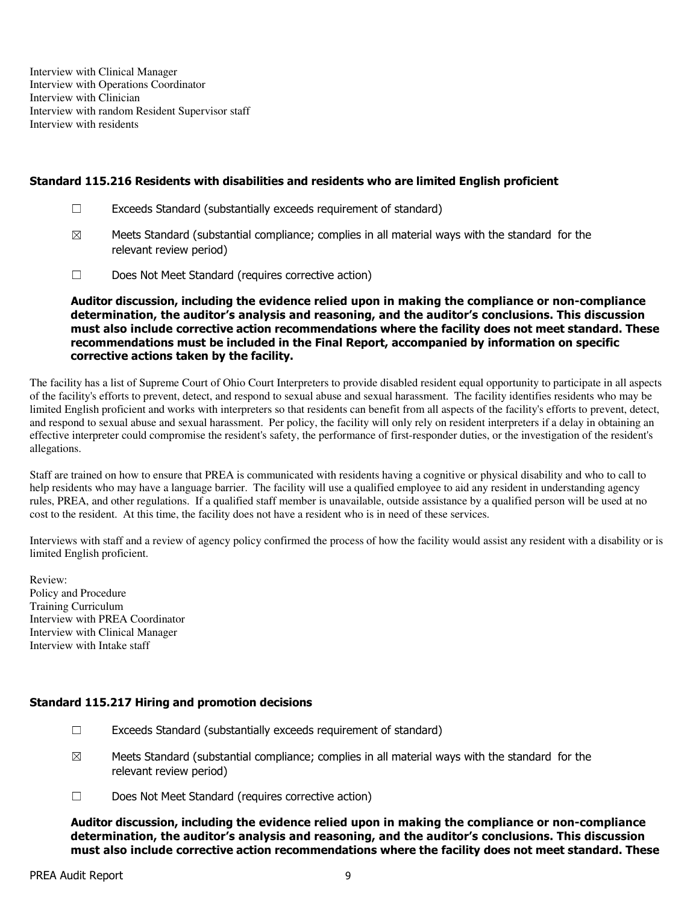Interview with Clinical Manager Interview with Operations Coordinator Interview with Clinician Interview with random Resident Supervisor staff Interview with residents

#### Standard 115.216 Residents with disabilities and residents who are limited English proficient

- $\Box$  Exceeds Standard (substantially exceeds requirement of standard)
- $\boxtimes$  Meets Standard (substantial compliance; complies in all material ways with the standard for the relevant review period)
- ☐ Does Not Meet Standard (requires corrective action)

Auditor discussion, including the evidence relied upon in making the compliance or non-compliance determination, the auditor's analysis and reasoning, and the auditor's conclusions. This discussion must also include corrective action recommendations where the facility does not meet standard. These recommendations must be included in the Final Report, accompanied by information on specific corrective actions taken by the facility.

The facility has a list of Supreme Court of Ohio Court Interpreters to provide disabled resident equal opportunity to participate in all aspects of the facility's efforts to prevent, detect, and respond to sexual abuse and sexual harassment. The facility identifies residents who may be limited English proficient and works with interpreters so that residents can benefit from all aspects of the facility's efforts to prevent, detect, and respond to sexual abuse and sexual harassment. Per policy, the facility will only rely on resident interpreters if a delay in obtaining an effective interpreter could compromise the resident's safety, the performance of first-responder duties, or the investigation of the resident's allegations.

Staff are trained on how to ensure that PREA is communicated with residents having a cognitive or physical disability and who to call to help residents who may have a language barrier. The facility will use a qualified employee to aid any resident in understanding agency rules, PREA, and other regulations. If a qualified staff member is unavailable, outside assistance by a qualified person will be used at no cost to the resident. At this time, the facility does not have a resident who is in need of these services.

Interviews with staff and a review of agency policy confirmed the process of how the facility would assist any resident with a disability or is limited English proficient.

Review: Policy and Procedure Training Curriculum Interview with PREA Coordinator Interview with Clinical Manager Interview with Intake staff

#### Standard 115.217 Hiring and promotion decisions

- ☐ Exceeds Standard (substantially exceeds requirement of standard)
- $\boxtimes$  Meets Standard (substantial compliance; complies in all material ways with the standard for the relevant review period)
- ☐ Does Not Meet Standard (requires corrective action)

Auditor discussion, including the evidence relied upon in making the compliance or non-compliance determination, the auditor's analysis and reasoning, and the auditor's conclusions. This discussion must also include corrective action recommendations where the facility does not meet standard. These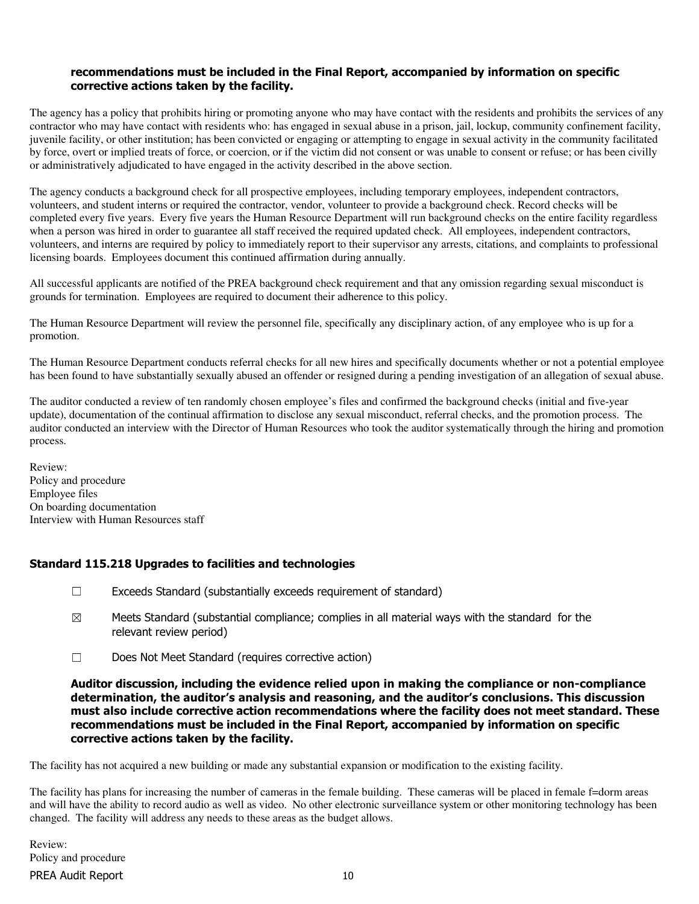## recommendations must be included in the Final Report, accompanied by information on specific corrective actions taken by the facility.

The agency has a policy that prohibits hiring or promoting anyone who may have contact with the residents and prohibits the services of any contractor who may have contact with residents who: has engaged in sexual abuse in a prison, jail, lockup, community confinement facility, juvenile facility, or other institution; has been convicted or engaging or attempting to engage in sexual activity in the community facilitated by force, overt or implied treats of force, or coercion, or if the victim did not consent or was unable to consent or refuse; or has been civilly or administratively adjudicated to have engaged in the activity described in the above section.

The agency conducts a background check for all prospective employees, including temporary employees, independent contractors, volunteers, and student interns or required the contractor, vendor, volunteer to provide a background check. Record checks will be completed every five years. Every five years the Human Resource Department will run background checks on the entire facility regardless when a person was hired in order to guarantee all staff received the required updated check. All employees, independent contractors, volunteers, and interns are required by policy to immediately report to their supervisor any arrests, citations, and complaints to professional licensing boards. Employees document this continued affirmation during annually.

All successful applicants are notified of the PREA background check requirement and that any omission regarding sexual misconduct is grounds for termination. Employees are required to document their adherence to this policy.

The Human Resource Department will review the personnel file, specifically any disciplinary action, of any employee who is up for a promotion.

The Human Resource Department conducts referral checks for all new hires and specifically documents whether or not a potential employee has been found to have substantially sexually abused an offender or resigned during a pending investigation of an allegation of sexual abuse.

The auditor conducted a review of ten randomly chosen employee's files and confirmed the background checks (initial and five-year update), documentation of the continual affirmation to disclose any sexual misconduct, referral checks, and the promotion process. The auditor conducted an interview with the Director of Human Resources who took the auditor systematically through the hiring and promotion process.

Review: Policy and procedure Employee files On boarding documentation Interview with Human Resources staff

## Standard 115.218 Upgrades to facilities and technologies

- ☐ Exceeds Standard (substantially exceeds requirement of standard)
- $\boxtimes$  Meets Standard (substantial compliance; complies in all material ways with the standard for the relevant review period)
- ☐ Does Not Meet Standard (requires corrective action)

Auditor discussion, including the evidence relied upon in making the compliance or non-compliance determination, the auditor's analysis and reasoning, and the auditor's conclusions. This discussion must also include corrective action recommendations where the facility does not meet standard. These recommendations must be included in the Final Report, accompanied by information on specific corrective actions taken by the facility.

The facility has not acquired a new building or made any substantial expansion or modification to the existing facility.

The facility has plans for increasing the number of cameras in the female building. These cameras will be placed in female f=dorm areas and will have the ability to record audio as well as video. No other electronic surveillance system or other monitoring technology has been changed. The facility will address any needs to these areas as the budget allows.

PREA Audit Report 10 Review: Policy and procedure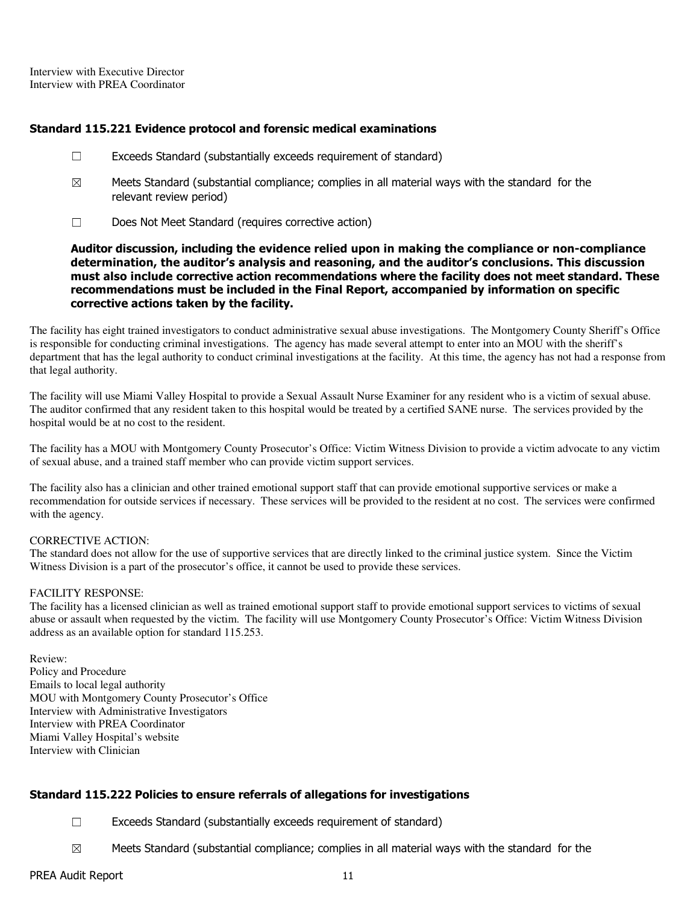Interview with Executive Director Interview with PREA Coordinator

#### Standard 115.221 Evidence protocol and forensic medical examinations

- ☐ Exceeds Standard (substantially exceeds requirement of standard)
- $\boxtimes$  Meets Standard (substantial compliance; complies in all material ways with the standard for the relevant review period)
- ☐ Does Not Meet Standard (requires corrective action)

Auditor discussion, including the evidence relied upon in making the compliance or non-compliance determination, the auditor's analysis and reasoning, and the auditor's conclusions. This discussion must also include corrective action recommendations where the facility does not meet standard. These recommendations must be included in the Final Report, accompanied by information on specific corrective actions taken by the facility.

The facility has eight trained investigators to conduct administrative sexual abuse investigations. The Montgomery County Sheriff's Office is responsible for conducting criminal investigations. The agency has made several attempt to enter into an MOU with the sheriff's department that has the legal authority to conduct criminal investigations at the facility. At this time, the agency has not had a response from that legal authority.

The facility will use Miami Valley Hospital to provide a Sexual Assault Nurse Examiner for any resident who is a victim of sexual abuse. The auditor confirmed that any resident taken to this hospital would be treated by a certified SANE nurse. The services provided by the hospital would be at no cost to the resident.

The facility has a MOU with Montgomery County Prosecutor's Office: Victim Witness Division to provide a victim advocate to any victim of sexual abuse, and a trained staff member who can provide victim support services.

The facility also has a clinician and other trained emotional support staff that can provide emotional supportive services or make a recommendation for outside services if necessary. These services will be provided to the resident at no cost. The services were confirmed with the agency.

#### CORRECTIVE ACTION:

The standard does not allow for the use of supportive services that are directly linked to the criminal justice system. Since the Victim Witness Division is a part of the prosecutor's office, it cannot be used to provide these services.

#### FACILITY RESPONSE:

The facility has a licensed clinician as well as trained emotional support staff to provide emotional support services to victims of sexual abuse or assault when requested by the victim. The facility will use Montgomery County Prosecutor's Office: Victim Witness Division address as an available option for standard 115.253.

Review: Policy and Procedure Emails to local legal authority MOU with Montgomery County Prosecutor's Office Interview with Administrative Investigators Interview with PREA Coordinator Miami Valley Hospital's website Interview with Clinician

## Standard 115.222 Policies to ensure referrals of allegations for investigations

- ☐ Exceeds Standard (substantially exceeds requirement of standard)
- $\boxtimes$  Meets Standard (substantial compliance; complies in all material ways with the standard for the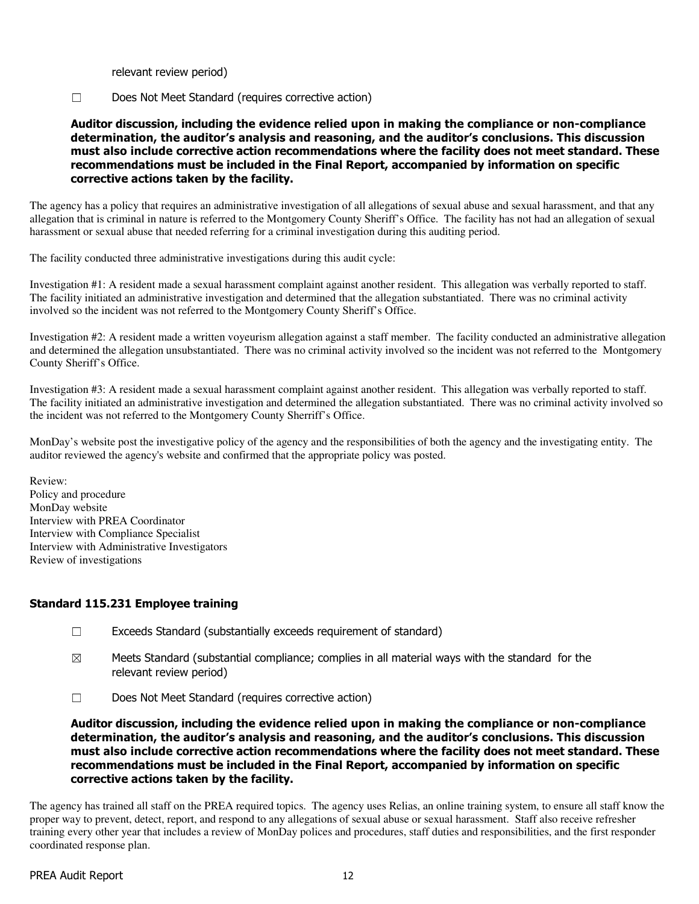relevant review period)

☐ Does Not Meet Standard (requires corrective action)

Auditor discussion, including the evidence relied upon in making the compliance or non-compliance determination, the auditor's analysis and reasoning, and the auditor's conclusions. This discussion must also include corrective action recommendations where the facility does not meet standard. These recommendations must be included in the Final Report, accompanied by information on specific corrective actions taken by the facility.

The agency has a policy that requires an administrative investigation of all allegations of sexual abuse and sexual harassment, and that any allegation that is criminal in nature is referred to the Montgomery County Sheriff's Office. The facility has not had an allegation of sexual harassment or sexual abuse that needed referring for a criminal investigation during this auditing period.

The facility conducted three administrative investigations during this audit cycle:

Investigation #1: A resident made a sexual harassment complaint against another resident. This allegation was verbally reported to staff. The facility initiated an administrative investigation and determined that the allegation substantiated. There was no criminal activity involved so the incident was not referred to the Montgomery County Sheriff's Office.

Investigation #2: A resident made a written voyeurism allegation against a staff member. The facility conducted an administrative allegation and determined the allegation unsubstantiated. There was no criminal activity involved so the incident was not referred to the Montgomery County Sheriff's Office.

Investigation #3: A resident made a sexual harassment complaint against another resident. This allegation was verbally reported to staff. The facility initiated an administrative investigation and determined the allegation substantiated. There was no criminal activity involved so the incident was not referred to the Montgomery County Sherriff's Office.

MonDay's website post the investigative policy of the agency and the responsibilities of both the agency and the investigating entity. The auditor reviewed the agency's website and confirmed that the appropriate policy was posted.

Review: Policy and procedure MonDay website Interview with PREA Coordinator Interview with Compliance Specialist Interview with Administrative Investigators Review of investigations

## Standard 115.231 Employee training

- ☐ Exceeds Standard (substantially exceeds requirement of standard)
- $\boxtimes$  Meets Standard (substantial compliance; complies in all material ways with the standard for the relevant review period)
- ☐ Does Not Meet Standard (requires corrective action)

Auditor discussion, including the evidence relied upon in making the compliance or non-compliance determination, the auditor's analysis and reasoning, and the auditor's conclusions. This discussion must also include corrective action recommendations where the facility does not meet standard. These recommendations must be included in the Final Report, accompanied by information on specific corrective actions taken by the facility.

The agency has trained all staff on the PREA required topics. The agency uses Relias, an online training system, to ensure all staff know the proper way to prevent, detect, report, and respond to any allegations of sexual abuse or sexual harassment. Staff also receive refresher training every other year that includes a review of MonDay polices and procedures, staff duties and responsibilities, and the first responder coordinated response plan.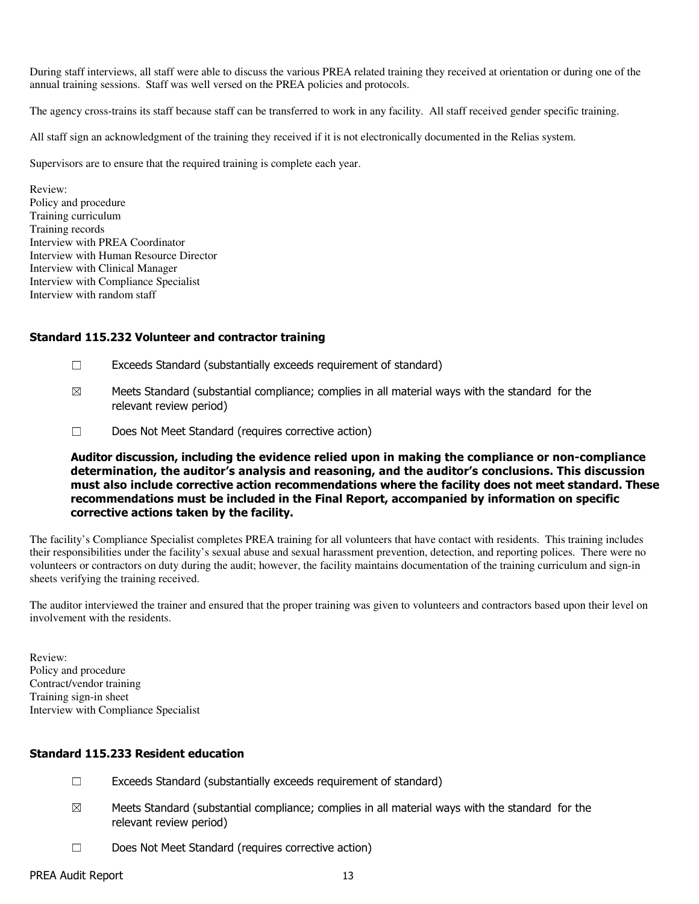During staff interviews, all staff were able to discuss the various PREA related training they received at orientation or during one of the annual training sessions. Staff was well versed on the PREA policies and protocols.

The agency cross-trains its staff because staff can be transferred to work in any facility. All staff received gender specific training.

All staff sign an acknowledgment of the training they received if it is not electronically documented in the Relias system.

Supervisors are to ensure that the required training is complete each year.

Review: Policy and procedure Training curriculum Training records Interview with PREA Coordinator Interview with Human Resource Director Interview with Clinical Manager Interview with Compliance Specialist Interview with random staff

#### Standard 115.232 Volunteer and contractor training

- $\Box$  Exceeds Standard (substantially exceeds requirement of standard)
- $\boxtimes$  Meets Standard (substantial compliance; complies in all material ways with the standard for the relevant review period)
- ☐ Does Not Meet Standard (requires corrective action)

Auditor discussion, including the evidence relied upon in making the compliance or non-compliance determination, the auditor's analysis and reasoning, and the auditor's conclusions. This discussion must also include corrective action recommendations where the facility does not meet standard. These recommendations must be included in the Final Report, accompanied by information on specific corrective actions taken by the facility.

The facility's Compliance Specialist completes PREA training for all volunteers that have contact with residents. This training includes their responsibilities under the facility's sexual abuse and sexual harassment prevention, detection, and reporting polices. There were no volunteers or contractors on duty during the audit; however, the facility maintains documentation of the training curriculum and sign-in sheets verifying the training received.

The auditor interviewed the trainer and ensured that the proper training was given to volunteers and contractors based upon their level on involvement with the residents.

Review: Policy and procedure Contract/vendor training Training sign-in sheet Interview with Compliance Specialist

#### Standard 115.233 Resident education

- $\Box$  Exceeds Standard (substantially exceeds requirement of standard)
- $\boxtimes$  Meets Standard (substantial compliance; complies in all material ways with the standard for the relevant review period)
- ☐ Does Not Meet Standard (requires corrective action)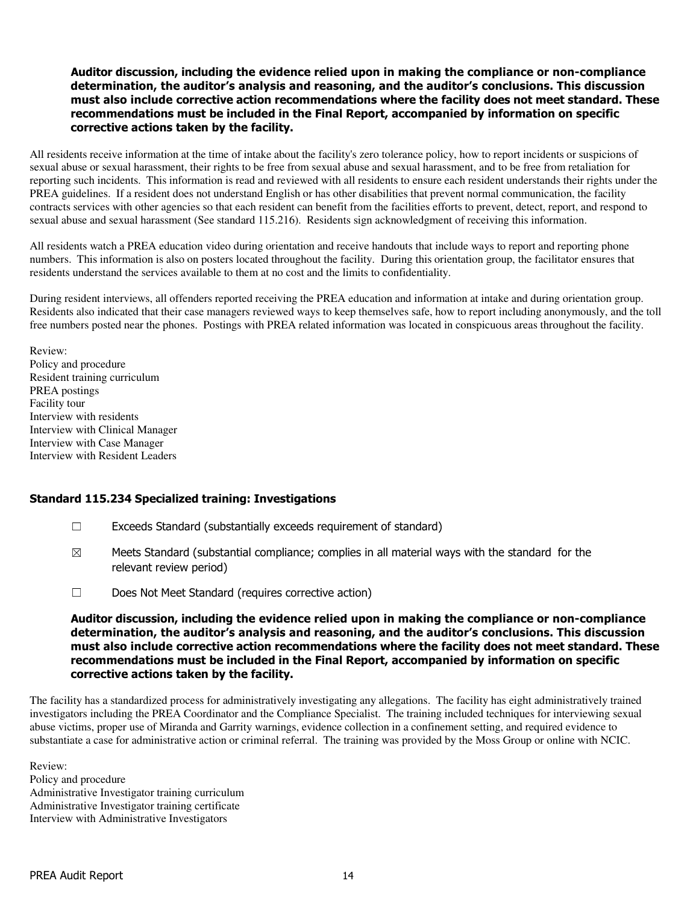#### Auditor discussion, including the evidence relied upon in making the compliance or non-compliance determination, the auditor's analysis and reasoning, and the auditor's conclusions. This discussion must also include corrective action recommendations where the facility does not meet standard. These recommendations must be included in the Final Report, accompanied by information on specific corrective actions taken by the facility.

All residents receive information at the time of intake about the facility's zero tolerance policy, how to report incidents or suspicions of sexual abuse or sexual harassment, their rights to be free from sexual abuse and sexual harassment, and to be free from retaliation for reporting such incidents. This information is read and reviewed with all residents to ensure each resident understands their rights under the PREA guidelines. If a resident does not understand English or has other disabilities that prevent normal communication, the facility contracts services with other agencies so that each resident can benefit from the facilities efforts to prevent, detect, report, and respond to sexual abuse and sexual harassment (See standard 115.216). Residents sign acknowledgment of receiving this information.

All residents watch a PREA education video during orientation and receive handouts that include ways to report and reporting phone numbers. This information is also on posters located throughout the facility. During this orientation group, the facilitator ensures that residents understand the services available to them at no cost and the limits to confidentiality.

During resident interviews, all offenders reported receiving the PREA education and information at intake and during orientation group. Residents also indicated that their case managers reviewed ways to keep themselves safe, how to report including anonymously, and the toll free numbers posted near the phones. Postings with PREA related information was located in conspicuous areas throughout the facility.

Review: Policy and procedure Resident training curriculum PREA postings Facility tour Interview with residents Interview with Clinical Manager Interview with Case Manager Interview with Resident Leaders

## Standard 115.234 Specialized training: Investigations

- $\Box$  Exceeds Standard (substantially exceeds requirement of standard)
- $\boxtimes$  Meets Standard (substantial compliance; complies in all material ways with the standard for the relevant review period)
- ☐ Does Not Meet Standard (requires corrective action)

#### Auditor discussion, including the evidence relied upon in making the compliance or non-compliance determination, the auditor's analysis and reasoning, and the auditor's conclusions. This discussion must also include corrective action recommendations where the facility does not meet standard. These recommendations must be included in the Final Report, accompanied by information on specific corrective actions taken by the facility.

The facility has a standardized process for administratively investigating any allegations. The facility has eight administratively trained investigators including the PREA Coordinator and the Compliance Specialist. The training included techniques for interviewing sexual abuse victims, proper use of Miranda and Garrity warnings, evidence collection in a confinement setting, and required evidence to substantiate a case for administrative action or criminal referral. The training was provided by the Moss Group or online with NCIC.

Review: Policy and procedure Administrative Investigator training curriculum Administrative Investigator training certificate Interview with Administrative Investigators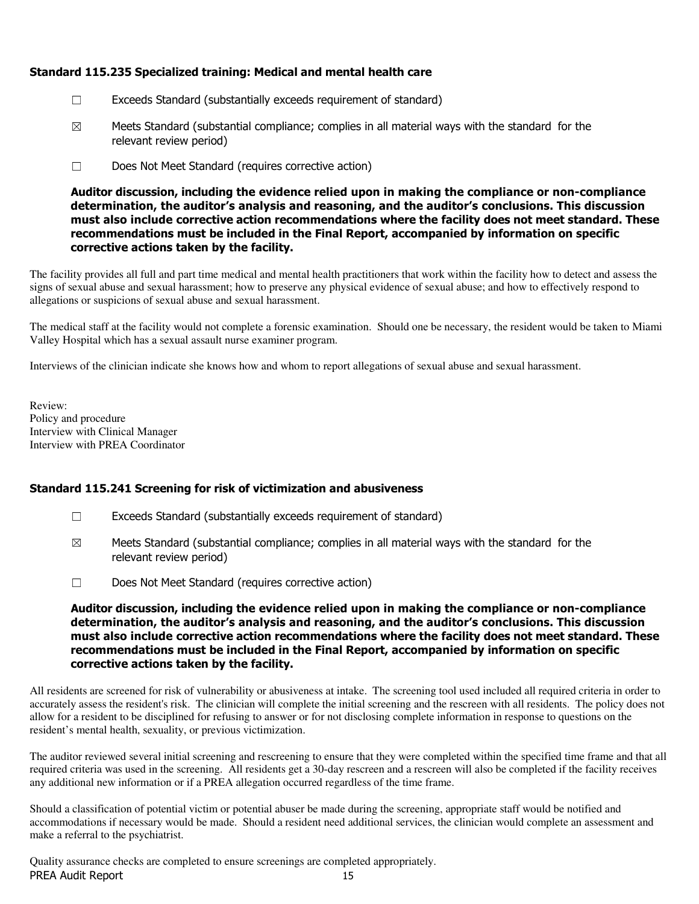# Standard 115.235 Specialized training: Medical and mental health care

- ☐ Exceeds Standard (substantially exceeds requirement of standard)
- $\boxtimes$  Meets Standard (substantial compliance; complies in all material ways with the standard for the relevant review period)
- ☐ Does Not Meet Standard (requires corrective action)

Auditor discussion, including the evidence relied upon in making the compliance or non-compliance determination, the auditor's analysis and reasoning, and the auditor's conclusions. This discussion must also include corrective action recommendations where the facility does not meet standard. These recommendations must be included in the Final Report, accompanied by information on specific corrective actions taken by the facility.

The facility provides all full and part time medical and mental health practitioners that work within the facility how to detect and assess the signs of sexual abuse and sexual harassment; how to preserve any physical evidence of sexual abuse; and how to effectively respond to allegations or suspicions of sexual abuse and sexual harassment.

The medical staff at the facility would not complete a forensic examination. Should one be necessary, the resident would be taken to Miami Valley Hospital which has a sexual assault nurse examiner program.

Interviews of the clinician indicate she knows how and whom to report allegations of sexual abuse and sexual harassment.

Review: Policy and procedure Interview with Clinical Manager Interview with PREA Coordinator

## Standard 115.241 Screening for risk of victimization and abusiveness

- $\Box$  Exceeds Standard (substantially exceeds requirement of standard)
- $\boxtimes$  Meets Standard (substantial compliance; complies in all material ways with the standard for the relevant review period)
- ☐ Does Not Meet Standard (requires corrective action)

Auditor discussion, including the evidence relied upon in making the compliance or non-compliance determination, the auditor's analysis and reasoning, and the auditor's conclusions. This discussion must also include corrective action recommendations where the facility does not meet standard. These recommendations must be included in the Final Report, accompanied by information on specific corrective actions taken by the facility.

All residents are screened for risk of vulnerability or abusiveness at intake. The screening tool used included all required criteria in order to accurately assess the resident's risk. The clinician will complete the initial screening and the rescreen with all residents. The policy does not allow for a resident to be disciplined for refusing to answer or for not disclosing complete information in response to questions on the resident's mental health, sexuality, or previous victimization.

The auditor reviewed several initial screening and rescreening to ensure that they were completed within the specified time frame and that all required criteria was used in the screening. All residents get a 30-day rescreen and a rescreen will also be completed if the facility receives any additional new information or if a PREA allegation occurred regardless of the time frame.

Should a classification of potential victim or potential abuser be made during the screening, appropriate staff would be notified and accommodations if necessary would be made. Should a resident need additional services, the clinician would complete an assessment and make a referral to the psychiatrist.

PREA Audit Report 15 Quality assurance checks are completed to ensure screenings are completed appropriately.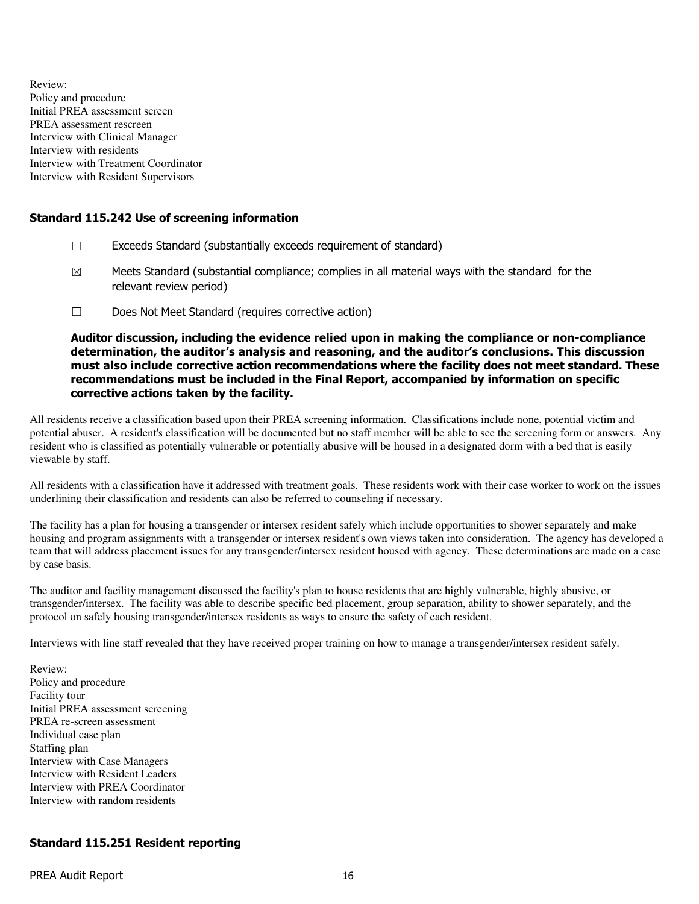Review: Policy and procedure Initial PREA assessment screen PREA assessment rescreen Interview with Clinical Manager Interview with residents Interview with Treatment Coordinator Interview with Resident Supervisors

#### Standard 115.242 Use of screening information

- ☐ Exceeds Standard (substantially exceeds requirement of standard)
- $\boxtimes$  Meets Standard (substantial compliance; complies in all material ways with the standard for the relevant review period)
- ☐ Does Not Meet Standard (requires corrective action)

Auditor discussion, including the evidence relied upon in making the compliance or non-compliance determination, the auditor's analysis and reasoning, and the auditor's conclusions. This discussion must also include corrective action recommendations where the facility does not meet standard. These recommendations must be included in the Final Report, accompanied by information on specific corrective actions taken by the facility.

All residents receive a classification based upon their PREA screening information. Classifications include none, potential victim and potential abuser. A resident's classification will be documented but no staff member will be able to see the screening form or answers. Any resident who is classified as potentially vulnerable or potentially abusive will be housed in a designated dorm with a bed that is easily viewable by staff.

All residents with a classification have it addressed with treatment goals. These residents work with their case worker to work on the issues underlining their classification and residents can also be referred to counseling if necessary.

The facility has a plan for housing a transgender or intersex resident safely which include opportunities to shower separately and make housing and program assignments with a transgender or intersex resident's own views taken into consideration. The agency has developed a team that will address placement issues for any transgender/intersex resident housed with agency. These determinations are made on a case by case basis.

The auditor and facility management discussed the facility's plan to house residents that are highly vulnerable, highly abusive, or transgender/intersex. The facility was able to describe specific bed placement, group separation, ability to shower separately, and the protocol on safely housing transgender/intersex residents as ways to ensure the safety of each resident.

Interviews with line staff revealed that they have received proper training on how to manage a transgender/intersex resident safely.

Review: Policy and procedure Facility tour Initial PREA assessment screening PREA re-screen assessment Individual case plan Staffing plan Interview with Case Managers Interview with Resident Leaders Interview with PREA Coordinator Interview with random residents

## Standard 115.251 Resident reporting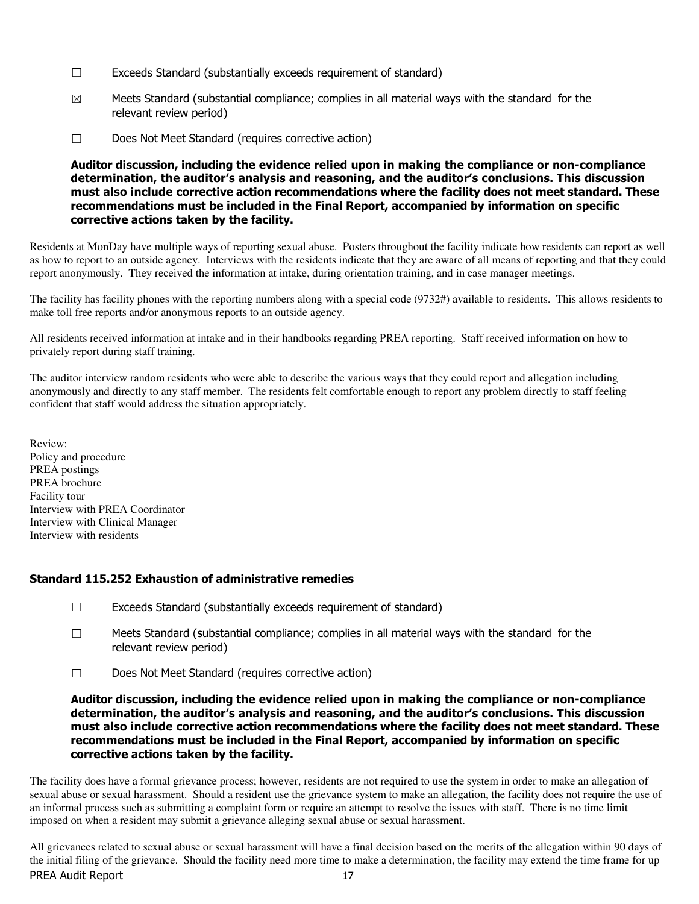- ☐ Exceeds Standard (substantially exceeds requirement of standard)
- $\boxtimes$  Meets Standard (substantial compliance; complies in all material ways with the standard for the relevant review period)
- ☐ Does Not Meet Standard (requires corrective action)

Auditor discussion, including the evidence relied upon in making the compliance or non-compliance determination, the auditor's analysis and reasoning, and the auditor's conclusions. This discussion must also include corrective action recommendations where the facility does not meet standard. These recommendations must be included in the Final Report, accompanied by information on specific corrective actions taken by the facility.

Residents at MonDay have multiple ways of reporting sexual abuse. Posters throughout the facility indicate how residents can report as well as how to report to an outside agency. Interviews with the residents indicate that they are aware of all means of reporting and that they could report anonymously. They received the information at intake, during orientation training, and in case manager meetings.

The facility has facility phones with the reporting numbers along with a special code (9732#) available to residents. This allows residents to make toll free reports and/or anonymous reports to an outside agency.

All residents received information at intake and in their handbooks regarding PREA reporting. Staff received information on how to privately report during staff training.

The auditor interview random residents who were able to describe the various ways that they could report and allegation including anonymously and directly to any staff member. The residents felt comfortable enough to report any problem directly to staff feeling confident that staff would address the situation appropriately.

Review: Policy and procedure PREA postings PREA brochure Facility tour Interview with PREA Coordinator Interview with Clinical Manager Interview with residents

## Standard 115.252 Exhaustion of administrative remedies

- $\Box$  Exceeds Standard (substantially exceeds requirement of standard)
- ☐ Meets Standard (substantial compliance; complies in all material ways with the standard for the relevant review period)
- ☐ Does Not Meet Standard (requires corrective action)

Auditor discussion, including the evidence relied upon in making the compliance or non-compliance determination, the auditor's analysis and reasoning, and the auditor's conclusions. This discussion must also include corrective action recommendations where the facility does not meet standard. These recommendations must be included in the Final Report, accompanied by information on specific corrective actions taken by the facility.

The facility does have a formal grievance process; however, residents are not required to use the system in order to make an allegation of sexual abuse or sexual harassment. Should a resident use the grievance system to make an allegation, the facility does not require the use of an informal process such as submitting a complaint form or require an attempt to resolve the issues with staff. There is no time limit imposed on when a resident may submit a grievance alleging sexual abuse or sexual harassment.

PREA Audit Report 17 All grievances related to sexual abuse or sexual harassment will have a final decision based on the merits of the allegation within 90 days of the initial filing of the grievance. Should the facility need more time to make a determination, the facility may extend the time frame for up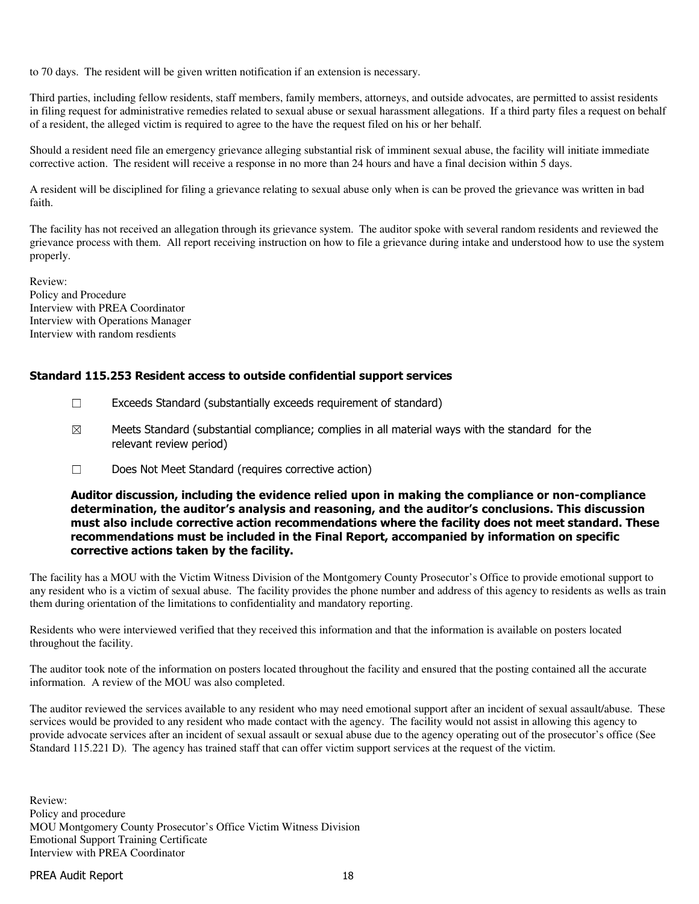to 70 days. The resident will be given written notification if an extension is necessary.

Third parties, including fellow residents, staff members, family members, attorneys, and outside advocates, are permitted to assist residents in filing request for administrative remedies related to sexual abuse or sexual harassment allegations. If a third party files a request on behalf of a resident, the alleged victim is required to agree to the have the request filed on his or her behalf.

Should a resident need file an emergency grievance alleging substantial risk of imminent sexual abuse, the facility will initiate immediate corrective action. The resident will receive a response in no more than 24 hours and have a final decision within 5 days.

A resident will be disciplined for filing a grievance relating to sexual abuse only when is can be proved the grievance was written in bad faith.

The facility has not received an allegation through its grievance system. The auditor spoke with several random residents and reviewed the grievance process with them. All report receiving instruction on how to file a grievance during intake and understood how to use the system properly.

Review: Policy and Procedure Interview with PREA Coordinator Interview with Operations Manager Interview with random resdients

#### Standard 115.253 Resident access to outside confidential support services

- $\Box$  Exceeds Standard (substantially exceeds requirement of standard)
- $\boxtimes$  Meets Standard (substantial compliance; complies in all material ways with the standard for the relevant review period)
- ☐ Does Not Meet Standard (requires corrective action)

#### Auditor discussion, including the evidence relied upon in making the compliance or non-compliance determination, the auditor's analysis and reasoning, and the auditor's conclusions. This discussion must also include corrective action recommendations where the facility does not meet standard. These recommendations must be included in the Final Report, accompanied by information on specific corrective actions taken by the facility.

The facility has a MOU with the Victim Witness Division of the Montgomery County Prosecutor's Office to provide emotional support to any resident who is a victim of sexual abuse. The facility provides the phone number and address of this agency to residents as wells as train them during orientation of the limitations to confidentiality and mandatory reporting.

Residents who were interviewed verified that they received this information and that the information is available on posters located throughout the facility.

The auditor took note of the information on posters located throughout the facility and ensured that the posting contained all the accurate information. A review of the MOU was also completed.

The auditor reviewed the services available to any resident who may need emotional support after an incident of sexual assault/abuse. These services would be provided to any resident who made contact with the agency. The facility would not assist in allowing this agency to provide advocate services after an incident of sexual assault or sexual abuse due to the agency operating out of the prosecutor's office (See Standard 115.221 D). The agency has trained staff that can offer victim support services at the request of the victim.

Review: Policy and procedure MOU Montgomery County Prosecutor's Office Victim Witness Division Emotional Support Training Certificate Interview with PREA Coordinator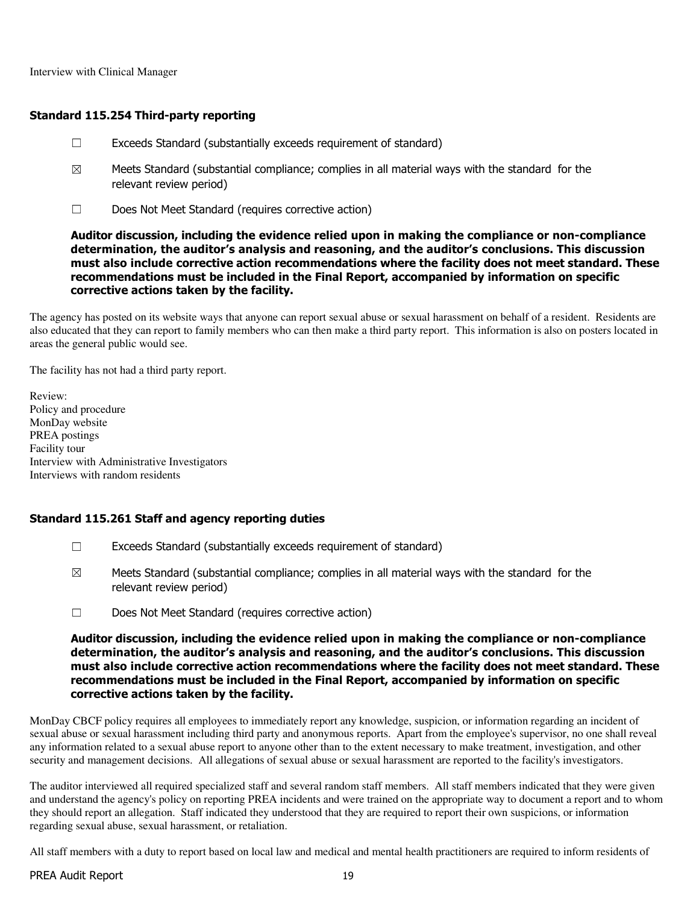Interview with Clinical Manager

#### Standard 115.254 Third-party reporting

- $\Box$  Exceeds Standard (substantially exceeds requirement of standard)
- $\boxtimes$  Meets Standard (substantial compliance; complies in all material ways with the standard for the relevant review period)
- ☐ Does Not Meet Standard (requires corrective action)

#### Auditor discussion, including the evidence relied upon in making the compliance or non-compliance determination, the auditor's analysis and reasoning, and the auditor's conclusions. This discussion must also include corrective action recommendations where the facility does not meet standard. These recommendations must be included in the Final Report, accompanied by information on specific corrective actions taken by the facility.

The agency has posted on its website ways that anyone can report sexual abuse or sexual harassment on behalf of a resident. Residents are also educated that they can report to family members who can then make a third party report. This information is also on posters located in areas the general public would see.

The facility has not had a third party report.

Review: Policy and procedure MonDay website PREA postings Facility tour Interview with Administrative Investigators Interviews with random residents

#### Standard 115.261 Staff and agency reporting duties

- ☐ Exceeds Standard (substantially exceeds requirement of standard)
- $\boxtimes$  Meets Standard (substantial compliance; complies in all material ways with the standard for the relevant review period)
- ☐ Does Not Meet Standard (requires corrective action)

#### Auditor discussion, including the evidence relied upon in making the compliance or non-compliance determination, the auditor's analysis and reasoning, and the auditor's conclusions. This discussion must also include corrective action recommendations where the facility does not meet standard. These recommendations must be included in the Final Report, accompanied by information on specific corrective actions taken by the facility.

MonDay CBCF policy requires all employees to immediately report any knowledge, suspicion, or information regarding an incident of sexual abuse or sexual harassment including third party and anonymous reports. Apart from the employee's supervisor, no one shall reveal any information related to a sexual abuse report to anyone other than to the extent necessary to make treatment, investigation, and other security and management decisions. All allegations of sexual abuse or sexual harassment are reported to the facility's investigators.

The auditor interviewed all required specialized staff and several random staff members. All staff members indicated that they were given and understand the agency's policy on reporting PREA incidents and were trained on the appropriate way to document a report and to whom they should report an allegation. Staff indicated they understood that they are required to report their own suspicions, or information regarding sexual abuse, sexual harassment, or retaliation.

All staff members with a duty to report based on local law and medical and mental health practitioners are required to inform residents of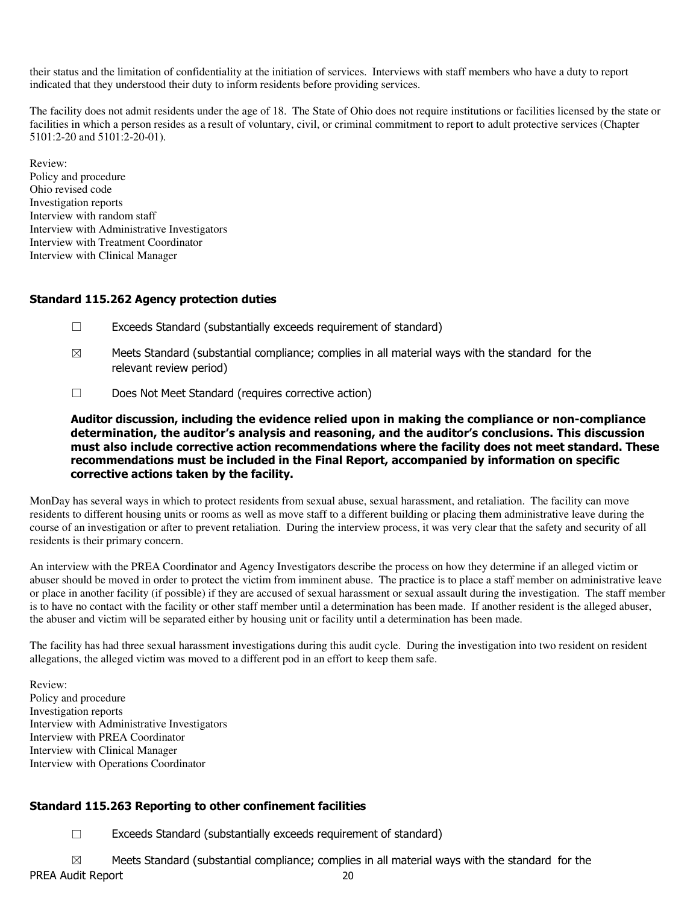their status and the limitation of confidentiality at the initiation of services. Interviews with staff members who have a duty to report indicated that they understood their duty to inform residents before providing services.

The facility does not admit residents under the age of 18. The State of Ohio does not require institutions or facilities licensed by the state or facilities in which a person resides as a result of voluntary, civil, or criminal commitment to report to adult protective services (Chapter 5101:2-20 and 5101:2-20-01).

Review: Policy and procedure Ohio revised code Investigation reports Interview with random staff Interview with Administrative Investigators Interview with Treatment Coordinator Interview with Clinical Manager

## Standard 115.262 Agency protection duties

- ☐ Exceeds Standard (substantially exceeds requirement of standard)
- $\boxtimes$  Meets Standard (substantial compliance; complies in all material ways with the standard for the relevant review period)
- ☐ Does Not Meet Standard (requires corrective action)

Auditor discussion, including the evidence relied upon in making the compliance or non-compliance determination, the auditor's analysis and reasoning, and the auditor's conclusions. This discussion must also include corrective action recommendations where the facility does not meet standard. These recommendations must be included in the Final Report, accompanied by information on specific corrective actions taken by the facility.

MonDay has several ways in which to protect residents from sexual abuse, sexual harassment, and retaliation. The facility can move residents to different housing units or rooms as well as move staff to a different building or placing them administrative leave during the course of an investigation or after to prevent retaliation. During the interview process, it was very clear that the safety and security of all residents is their primary concern.

An interview with the PREA Coordinator and Agency Investigators describe the process on how they determine if an alleged victim or abuser should be moved in order to protect the victim from imminent abuse. The practice is to place a staff member on administrative leave or place in another facility (if possible) if they are accused of sexual harassment or sexual assault during the investigation. The staff member is to have no contact with the facility or other staff member until a determination has been made. If another resident is the alleged abuser, the abuser and victim will be separated either by housing unit or facility until a determination has been made.

The facility has had three sexual harassment investigations during this audit cycle. During the investigation into two resident on resident allegations, the alleged victim was moved to a different pod in an effort to keep them safe.

Review: Policy and procedure Investigation reports Interview with Administrative Investigators Interview with PREA Coordinator Interview with Clinical Manager Interview with Operations Coordinator

# Standard 115.263 Reporting to other confinement facilities

☐ Exceeds Standard (substantially exceeds requirement of standard)

PREA Audit Report 20  $\boxtimes$  Meets Standard (substantial compliance; complies in all material ways with the standard for the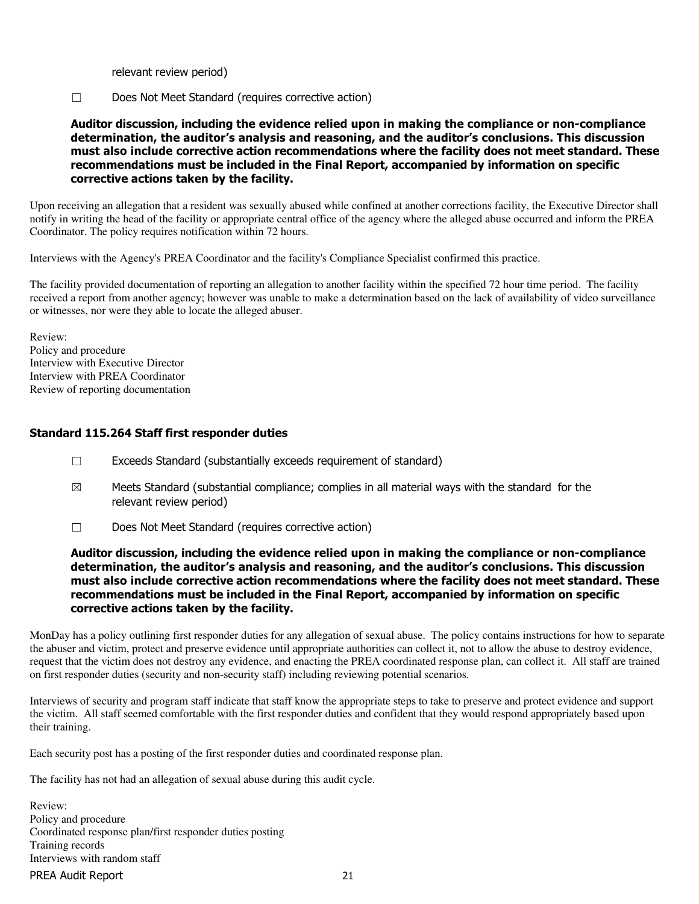relevant review period)

☐ Does Not Meet Standard (requires corrective action)

## Auditor discussion, including the evidence relied upon in making the compliance or non-compliance determination, the auditor's analysis and reasoning, and the auditor's conclusions. This discussion must also include corrective action recommendations where the facility does not meet standard. These recommendations must be included in the Final Report, accompanied by information on specific corrective actions taken by the facility.

Upon receiving an allegation that a resident was sexually abused while confined at another corrections facility, the Executive Director shall notify in writing the head of the facility or appropriate central office of the agency where the alleged abuse occurred and inform the PREA Coordinator. The policy requires notification within 72 hours.

Interviews with the Agency's PREA Coordinator and the facility's Compliance Specialist confirmed this practice.

The facility provided documentation of reporting an allegation to another facility within the specified 72 hour time period. The facility received a report from another agency; however was unable to make a determination based on the lack of availability of video surveillance or witnesses, nor were they able to locate the alleged abuser.

Review: Policy and procedure Interview with Executive Director Interview with PREA Coordinator Review of reporting documentation

## Standard 115.264 Staff first responder duties

- ☐ Exceeds Standard (substantially exceeds requirement of standard)
- $\boxtimes$  Meets Standard (substantial compliance; complies in all material ways with the standard for the relevant review period)
- ☐ Does Not Meet Standard (requires corrective action)

#### Auditor discussion, including the evidence relied upon in making the compliance or non-compliance determination, the auditor's analysis and reasoning, and the auditor's conclusions. This discussion must also include corrective action recommendations where the facility does not meet standard. These recommendations must be included in the Final Report, accompanied by information on specific corrective actions taken by the facility.

MonDay has a policy outlining first responder duties for any allegation of sexual abuse. The policy contains instructions for how to separate the abuser and victim, protect and preserve evidence until appropriate authorities can collect it, not to allow the abuse to destroy evidence, request that the victim does not destroy any evidence, and enacting the PREA coordinated response plan, can collect it. All staff are trained on first responder duties (security and non-security staff) including reviewing potential scenarios.

Interviews of security and program staff indicate that staff know the appropriate steps to take to preserve and protect evidence and support the victim. All staff seemed comfortable with the first responder duties and confident that they would respond appropriately based upon their training.

Each security post has a posting of the first responder duties and coordinated response plan.

The facility has not had an allegation of sexual abuse during this audit cycle.

PREA Audit Report 21 Review: Policy and procedure Coordinated response plan/first responder duties posting Training records Interviews with random staff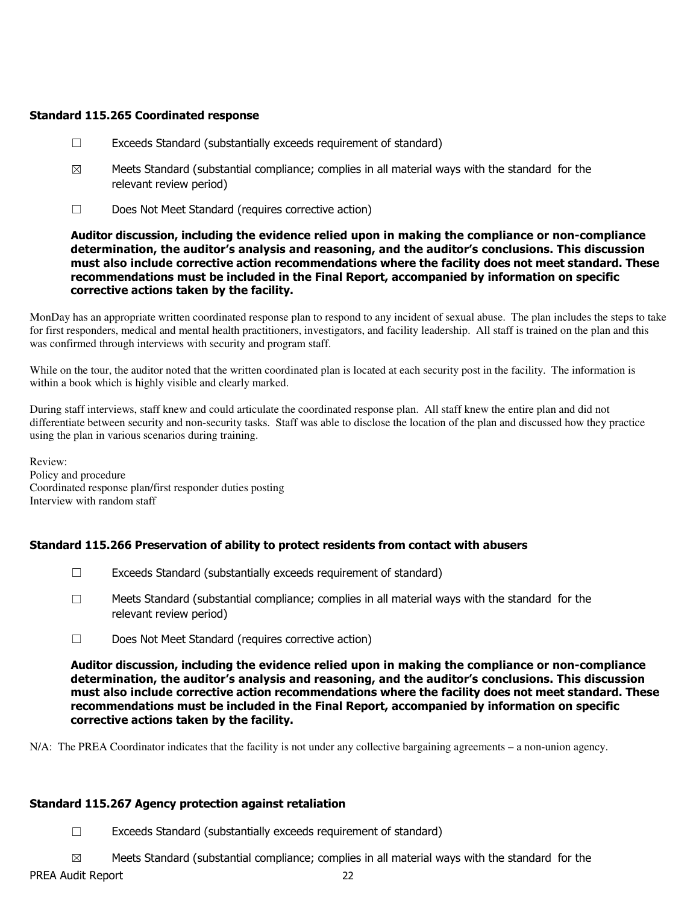# Standard 115.265 Coordinated response

- ☐ Exceeds Standard (substantially exceeds requirement of standard)
- $\boxtimes$  Meets Standard (substantial compliance; complies in all material ways with the standard for the relevant review period)
- ☐ Does Not Meet Standard (requires corrective action)

#### Auditor discussion, including the evidence relied upon in making the compliance or non-compliance determination, the auditor's analysis and reasoning, and the auditor's conclusions. This discussion must also include corrective action recommendations where the facility does not meet standard. These recommendations must be included in the Final Report, accompanied by information on specific corrective actions taken by the facility.

MonDay has an appropriate written coordinated response plan to respond to any incident of sexual abuse. The plan includes the steps to take for first responders, medical and mental health practitioners, investigators, and facility leadership. All staff is trained on the plan and this was confirmed through interviews with security and program staff.

While on the tour, the auditor noted that the written coordinated plan is located at each security post in the facility. The information is within a book which is highly visible and clearly marked.

During staff interviews, staff knew and could articulate the coordinated response plan. All staff knew the entire plan and did not differentiate between security and non-security tasks. Staff was able to disclose the location of the plan and discussed how they practice using the plan in various scenarios during training.

Review: Policy and procedure Coordinated response plan/first responder duties posting Interview with random staff

# Standard 115.266 Preservation of ability to protect residents from contact with abusers

- $\Box$  Exceeds Standard (substantially exceeds requirement of standard)
- $\square$  Meets Standard (substantial compliance; complies in all material ways with the standard for the relevant review period)
- ☐ Does Not Meet Standard (requires corrective action)

Auditor discussion, including the evidence relied upon in making the compliance or non-compliance determination, the auditor's analysis and reasoning, and the auditor's conclusions. This discussion must also include corrective action recommendations where the facility does not meet standard. These recommendations must be included in the Final Report, accompanied by information on specific corrective actions taken by the facility.

N/A: The PREA Coordinator indicates that the facility is not under any collective bargaining agreements – a non-union agency.

## Standard 115.267 Agency protection against retaliation

☐ Exceeds Standard (substantially exceeds requirement of standard)

 $\boxtimes$  Meets Standard (substantial compliance; complies in all material ways with the standard for the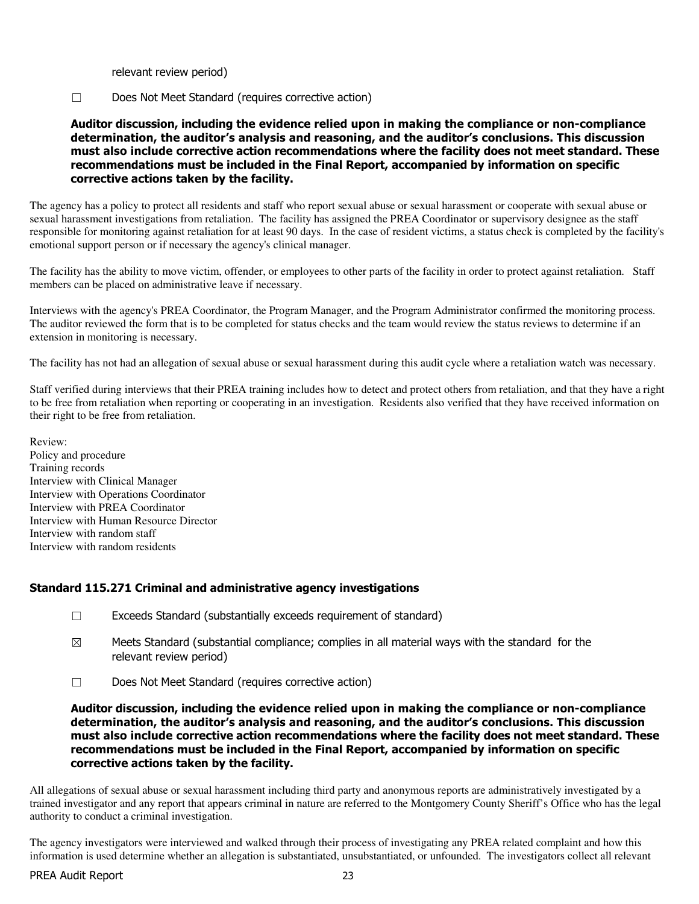relevant review period)

☐ Does Not Meet Standard (requires corrective action)

Auditor discussion, including the evidence relied upon in making the compliance or non-compliance determination, the auditor's analysis and reasoning, and the auditor's conclusions. This discussion must also include corrective action recommendations where the facility does not meet standard. These recommendations must be included in the Final Report, accompanied by information on specific corrective actions taken by the facility.

The agency has a policy to protect all residents and staff who report sexual abuse or sexual harassment or cooperate with sexual abuse or sexual harassment investigations from retaliation. The facility has assigned the PREA Coordinator or supervisory designee as the staff responsible for monitoring against retaliation for at least 90 days. In the case of resident victims, a status check is completed by the facility's emotional support person or if necessary the agency's clinical manager.

The facility has the ability to move victim, offender, or employees to other parts of the facility in order to protect against retaliation. Staff members can be placed on administrative leave if necessary.

Interviews with the agency's PREA Coordinator, the Program Manager, and the Program Administrator confirmed the monitoring process. The auditor reviewed the form that is to be completed for status checks and the team would review the status reviews to determine if an extension in monitoring is necessary.

The facility has not had an allegation of sexual abuse or sexual harassment during this audit cycle where a retaliation watch was necessary.

Staff verified during interviews that their PREA training includes how to detect and protect others from retaliation, and that they have a right to be free from retaliation when reporting or cooperating in an investigation. Residents also verified that they have received information on their right to be free from retaliation.

Review: Policy and procedure Training records Interview with Clinical Manager Interview with Operations Coordinator Interview with PREA Coordinator Interview with Human Resource Director Interview with random staff Interview with random residents

## Standard 115.271 Criminal and administrative agency investigations

- ☐ Exceeds Standard (substantially exceeds requirement of standard)
- $\boxtimes$  Meets Standard (substantial compliance; complies in all material ways with the standard for the relevant review period)
- ☐ Does Not Meet Standard (requires corrective action)

Auditor discussion, including the evidence relied upon in making the compliance or non-compliance determination, the auditor's analysis and reasoning, and the auditor's conclusions. This discussion must also include corrective action recommendations where the facility does not meet standard. These recommendations must be included in the Final Report, accompanied by information on specific corrective actions taken by the facility.

All allegations of sexual abuse or sexual harassment including third party and anonymous reports are administratively investigated by a trained investigator and any report that appears criminal in nature are referred to the Montgomery County Sheriff's Office who has the legal authority to conduct a criminal investigation.

The agency investigators were interviewed and walked through their process of investigating any PREA related complaint and how this information is used determine whether an allegation is substantiated, unsubstantiated, or unfounded. The investigators collect all relevant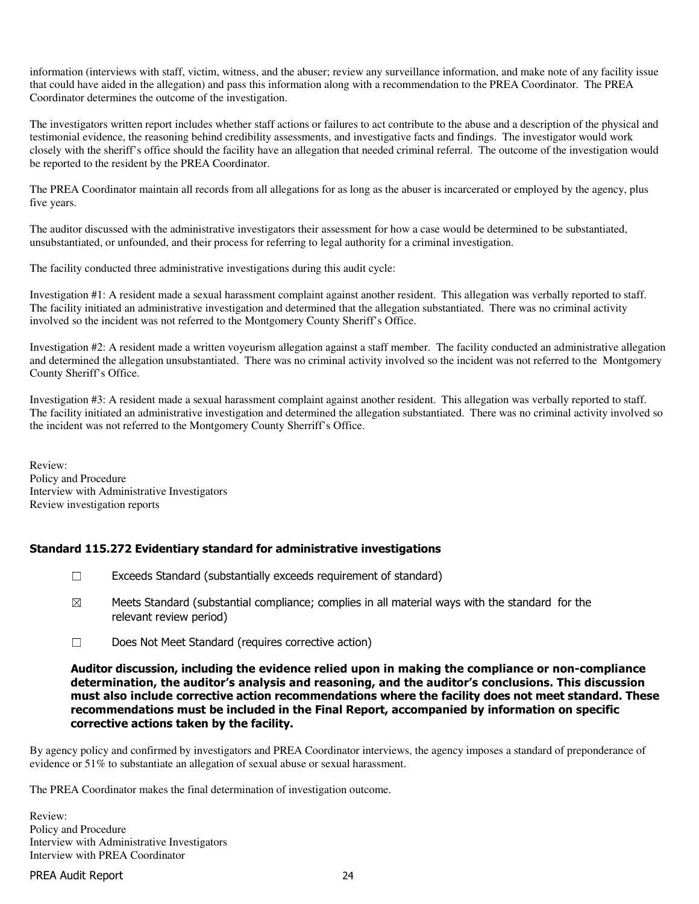information (interviews with staff, victim, witness, and the abuser; review any surveillance information, and make note of any facility issue that could have aided in the allegation) and pass this information along with a recommendation to the PREA Coordinator. The PREA Coordinator determines the outcome of the investigation.

The investigators written report includes whether staff actions or failures to act contribute to the abuse and a description of the physical and testimonial evidence, the reasoning behind credibility assessments, and investigative facts and findings. The investigator would work closely with the sheriff's office should the facility have an allegation that needed criminal referral. The outcome of the investigation would be reported to the resident by the PREA Coordinator.

The PREA Coordinator maintain all records from all allegations for as long as the abuser is incarcerated or employed by the agency, plus five years.

The auditor discussed with the administrative investigators their assessment for how a case would be determined to be substantiated, unsubstantiated, or unfounded, and their process for referring to legal authority for a criminal investigation.

The facility conducted three administrative investigations during this audit cycle:

Investigation #1: A resident made a sexual harassment complaint against another resident. This allegation was verbally reported to staff. The facility initiated an administrative investigation and determined that the allegation substantiated. There was no criminal activity involved so the incident was not referred to the Montgomery County Sheriff's Office.

Investigation #2: A resident made a written voyeurism allegation against a staff member. The facility conducted an administrative allegation and determined the allegation unsubstantiated. There was no criminal activity involved so the incident was not referred to the Montgomery County Sheriff's Office.

Investigation #3: A resident made a sexual harassment complaint against another resident. This allegation was verbally reported to staff. The facility initiated an administrative investigation and determined the allegation substantiated. There was no criminal activity involved so the incident was not referred to the Montgomery County Sherriff's Office.

Review: Policy and Procedure Interview with Administrative Investigators Review investigation reports

## Standard 115.272 Evidentiary standard for administrative investigations

- ☐ Exceeds Standard (substantially exceeds requirement of standard)
- $\boxtimes$  Meets Standard (substantial compliance; complies in all material ways with the standard for the relevant review period)
- ☐ Does Not Meet Standard (requires corrective action)

#### Auditor discussion, including the evidence relied upon in making the compliance or non-compliance determination, the auditor's analysis and reasoning, and the auditor's conclusions. This discussion must also include corrective action recommendations where the facility does not meet standard. These recommendations must be included in the Final Report, accompanied by information on specific corrective actions taken by the facility.

By agency policy and confirmed by investigators and PREA Coordinator interviews, the agency imposes a standard of preponderance of evidence or 51% to substantiate an allegation of sexual abuse or sexual harassment.

The PREA Coordinator makes the final determination of investigation outcome.

Review: Policy and Procedure Interview with Administrative Investigators Interview with PREA Coordinator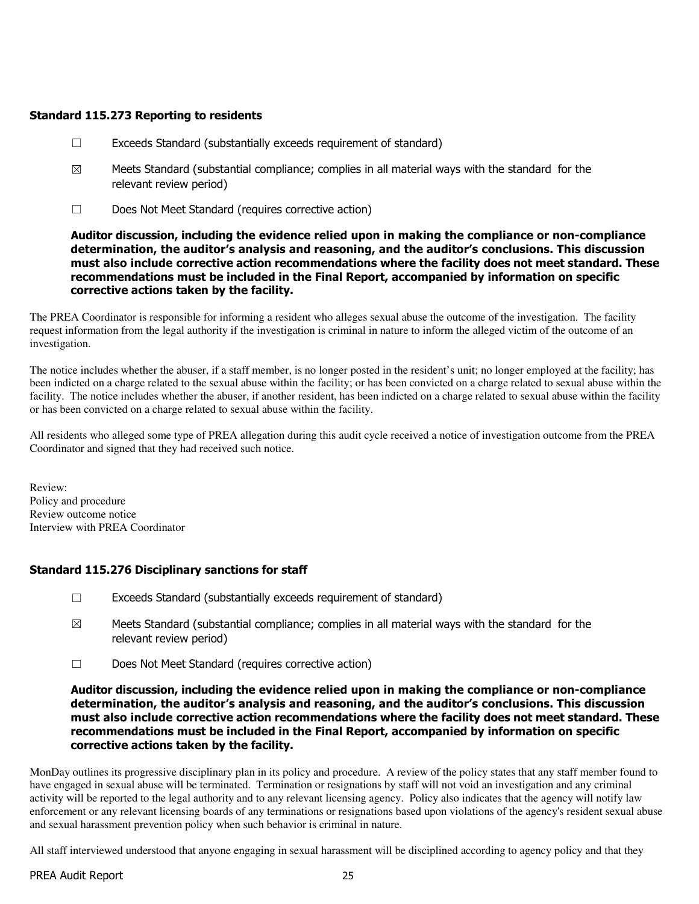# Standard 115.273 Reporting to residents

- ☐ Exceeds Standard (substantially exceeds requirement of standard)
- $\boxtimes$  Meets Standard (substantial compliance; complies in all material ways with the standard for the relevant review period)
- ☐ Does Not Meet Standard (requires corrective action)

#### Auditor discussion, including the evidence relied upon in making the compliance or non-compliance determination, the auditor's analysis and reasoning, and the auditor's conclusions. This discussion must also include corrective action recommendations where the facility does not meet standard. These recommendations must be included in the Final Report, accompanied by information on specific corrective actions taken by the facility.

The PREA Coordinator is responsible for informing a resident who alleges sexual abuse the outcome of the investigation. The facility request information from the legal authority if the investigation is criminal in nature to inform the alleged victim of the outcome of an investigation.

The notice includes whether the abuser, if a staff member, is no longer posted in the resident's unit; no longer employed at the facility; has been indicted on a charge related to the sexual abuse within the facility; or has been convicted on a charge related to sexual abuse within the facility. The notice includes whether the abuser, if another resident, has been indicted on a charge related to sexual abuse within the facility or has been convicted on a charge related to sexual abuse within the facility.

All residents who alleged some type of PREA allegation during this audit cycle received a notice of investigation outcome from the PREA Coordinator and signed that they had received such notice.

Review: Policy and procedure Review outcome notice Interview with PREA Coordinator

## Standard 115.276 Disciplinary sanctions for staff

- $\Box$  Exceeds Standard (substantially exceeds requirement of standard)
- $\boxtimes$  Meets Standard (substantial compliance; complies in all material ways with the standard for the relevant review period)
- ☐ Does Not Meet Standard (requires corrective action)

#### Auditor discussion, including the evidence relied upon in making the compliance or non-compliance determination, the auditor's analysis and reasoning, and the auditor's conclusions. This discussion must also include corrective action recommendations where the facility does not meet standard. These recommendations must be included in the Final Report, accompanied by information on specific corrective actions taken by the facility.

MonDay outlines its progressive disciplinary plan in its policy and procedure. A review of the policy states that any staff member found to have engaged in sexual abuse will be terminated. Termination or resignations by staff will not void an investigation and any criminal activity will be reported to the legal authority and to any relevant licensing agency. Policy also indicates that the agency will notify law enforcement or any relevant licensing boards of any terminations or resignations based upon violations of the agency's resident sexual abuse and sexual harassment prevention policy when such behavior is criminal in nature.

All staff interviewed understood that anyone engaging in sexual harassment will be disciplined according to agency policy and that they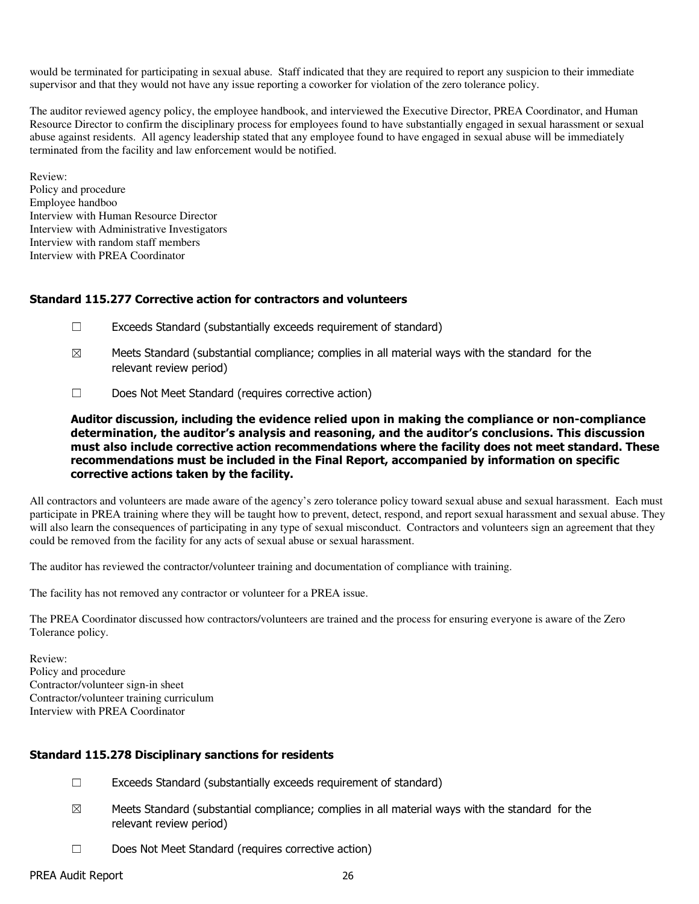would be terminated for participating in sexual abuse. Staff indicated that they are required to report any suspicion to their immediate supervisor and that they would not have any issue reporting a coworker for violation of the zero tolerance policy.

The auditor reviewed agency policy, the employee handbook, and interviewed the Executive Director, PREA Coordinator, and Human Resource Director to confirm the disciplinary process for employees found to have substantially engaged in sexual harassment or sexual abuse against residents. All agency leadership stated that any employee found to have engaged in sexual abuse will be immediately terminated from the facility and law enforcement would be notified.

Review: Policy and procedure Employee handboo Interview with Human Resource Director Interview with Administrative Investigators Interview with random staff members Interview with PREA Coordinator

#### Standard 115.277 Corrective action for contractors and volunteers

- $\Box$  Exceeds Standard (substantially exceeds requirement of standard)
- $\boxtimes$  Meets Standard (substantial compliance; complies in all material ways with the standard for the relevant review period)
- ☐ Does Not Meet Standard (requires corrective action)

Auditor discussion, including the evidence relied upon in making the compliance or non-compliance determination, the auditor's analysis and reasoning, and the auditor's conclusions. This discussion must also include corrective action recommendations where the facility does not meet standard. These recommendations must be included in the Final Report, accompanied by information on specific corrective actions taken by the facility.

All contractors and volunteers are made aware of the agency's zero tolerance policy toward sexual abuse and sexual harassment. Each must participate in PREA training where they will be taught how to prevent, detect, respond, and report sexual harassment and sexual abuse. They will also learn the consequences of participating in any type of sexual misconduct. Contractors and volunteers sign an agreement that they could be removed from the facility for any acts of sexual abuse or sexual harassment.

The auditor has reviewed the contractor/volunteer training and documentation of compliance with training.

The facility has not removed any contractor or volunteer for a PREA issue.

The PREA Coordinator discussed how contractors/volunteers are trained and the process for ensuring everyone is aware of the Zero Tolerance policy.

Review: Policy and procedure Contractor/volunteer sign-in sheet Contractor/volunteer training curriculum Interview with PREA Coordinator

#### Standard 115.278 Disciplinary sanctions for residents

- $\Box$  Exceeds Standard (substantially exceeds requirement of standard)
- $\boxtimes$  Meets Standard (substantial compliance; complies in all material ways with the standard for the relevant review period)
- ☐ Does Not Meet Standard (requires corrective action)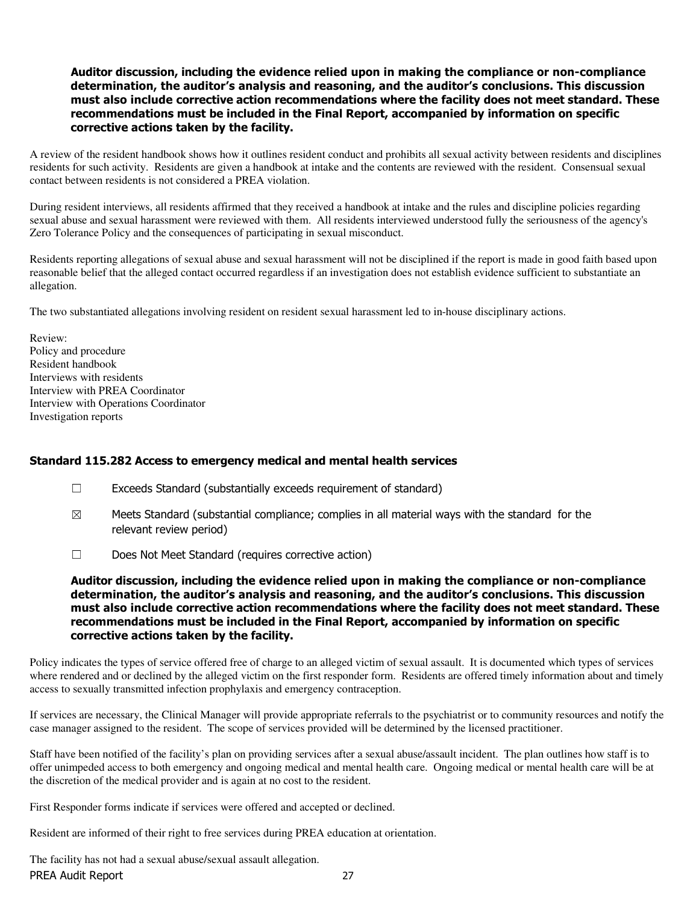#### Auditor discussion, including the evidence relied upon in making the compliance or non-compliance determination, the auditor's analysis and reasoning, and the auditor's conclusions. This discussion must also include corrective action recommendations where the facility does not meet standard. These recommendations must be included in the Final Report, accompanied by information on specific corrective actions taken by the facility.

A review of the resident handbook shows how it outlines resident conduct and prohibits all sexual activity between residents and disciplines residents for such activity. Residents are given a handbook at intake and the contents are reviewed with the resident. Consensual sexual contact between residents is not considered a PREA violation.

During resident interviews, all residents affirmed that they received a handbook at intake and the rules and discipline policies regarding sexual abuse and sexual harassment were reviewed with them. All residents interviewed understood fully the seriousness of the agency's Zero Tolerance Policy and the consequences of participating in sexual misconduct.

Residents reporting allegations of sexual abuse and sexual harassment will not be disciplined if the report is made in good faith based upon reasonable belief that the alleged contact occurred regardless if an investigation does not establish evidence sufficient to substantiate an allegation.

The two substantiated allegations involving resident on resident sexual harassment led to in-house disciplinary actions.

Review: Policy and procedure Resident handbook Interviews with residents Interview with PREA Coordinator Interview with Operations Coordinator Investigation reports

## Standard 115.282 Access to emergency medical and mental health services

- $\Box$  Exceeds Standard (substantially exceeds requirement of standard)
- $\boxtimes$  Meets Standard (substantial compliance; complies in all material ways with the standard for the relevant review period)
- ☐ Does Not Meet Standard (requires corrective action)

Auditor discussion, including the evidence relied upon in making the compliance or non-compliance determination, the auditor's analysis and reasoning, and the auditor's conclusions. This discussion must also include corrective action recommendations where the facility does not meet standard. These recommendations must be included in the Final Report, accompanied by information on specific corrective actions taken by the facility.

Policy indicates the types of service offered free of charge to an alleged victim of sexual assault. It is documented which types of services where rendered and or declined by the alleged victim on the first responder form. Residents are offered timely information about and timely access to sexually transmitted infection prophylaxis and emergency contraception.

If services are necessary, the Clinical Manager will provide appropriate referrals to the psychiatrist or to community resources and notify the case manager assigned to the resident. The scope of services provided will be determined by the licensed practitioner.

Staff have been notified of the facility's plan on providing services after a sexual abuse/assault incident. The plan outlines how staff is to offer unimpeded access to both emergency and ongoing medical and mental health care. Ongoing medical or mental health care will be at the discretion of the medical provider and is again at no cost to the resident.

First Responder forms indicate if services were offered and accepted or declined.

Resident are informed of their right to free services during PREA education at orientation.

PREA Audit Report 27 The facility has not had a sexual abuse/sexual assault allegation.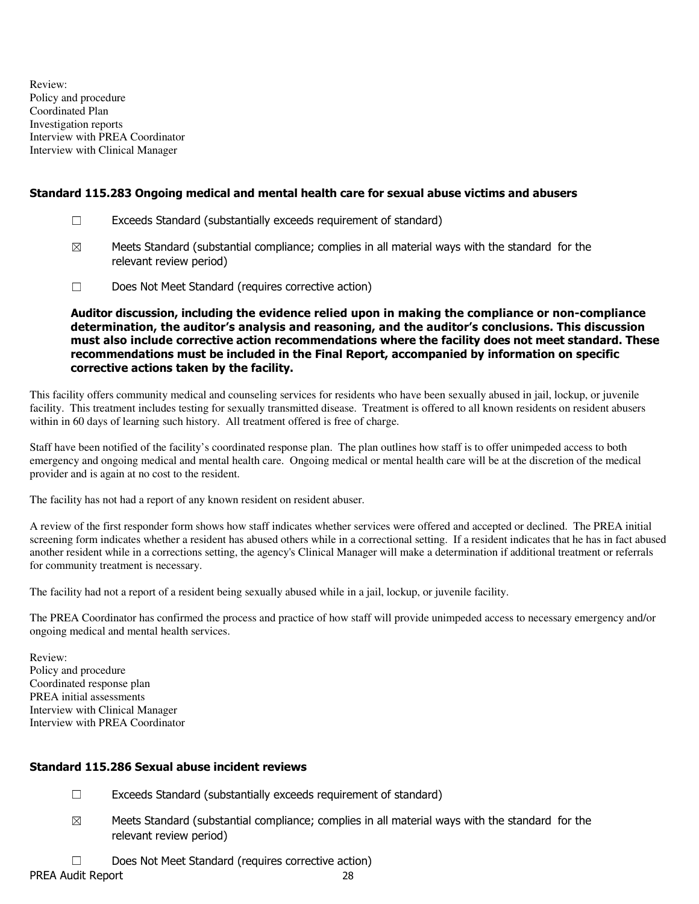Review: Policy and procedure Coordinated Plan Investigation reports Interview with PREA Coordinator Interview with Clinical Manager

# Standard 115.283 Ongoing medical and mental health care for sexual abuse victims and abusers

- ☐ Exceeds Standard (substantially exceeds requirement of standard)
- $\boxtimes$  Meets Standard (substantial compliance; complies in all material ways with the standard for the relevant review period)
- ☐ Does Not Meet Standard (requires corrective action)

Auditor discussion, including the evidence relied upon in making the compliance or non-compliance determination, the auditor's analysis and reasoning, and the auditor's conclusions. This discussion must also include corrective action recommendations where the facility does not meet standard. These recommendations must be included in the Final Report, accompanied by information on specific corrective actions taken by the facility.

This facility offers community medical and counseling services for residents who have been sexually abused in jail, lockup, or juvenile facility. This treatment includes testing for sexually transmitted disease. Treatment is offered to all known residents on resident abusers within in 60 days of learning such history. All treatment offered is free of charge.

Staff have been notified of the facility's coordinated response plan. The plan outlines how staff is to offer unimpeded access to both emergency and ongoing medical and mental health care. Ongoing medical or mental health care will be at the discretion of the medical provider and is again at no cost to the resident.

The facility has not had a report of any known resident on resident abuser.

A review of the first responder form shows how staff indicates whether services were offered and accepted or declined. The PREA initial screening form indicates whether a resident has abused others while in a correctional setting. If a resident indicates that he has in fact abused another resident while in a corrections setting, the agency's Clinical Manager will make a determination if additional treatment or referrals for community treatment is necessary.

The facility had not a report of a resident being sexually abused while in a jail, lockup, or juvenile facility.

The PREA Coordinator has confirmed the process and practice of how staff will provide unimpeded access to necessary emergency and/or ongoing medical and mental health services.

Review: Policy and procedure Coordinated response plan PREA initial assessments Interview with Clinical Manager Interview with PREA Coordinator

## Standard 115.286 Sexual abuse incident reviews

- $\Box$  Exceeds Standard (substantially exceeds requirement of standard)
- $\boxtimes$  Meets Standard (substantial compliance; complies in all material ways with the standard for the relevant review period)
- ☐ Does Not Meet Standard (requires corrective action)

PREA Audit Report 28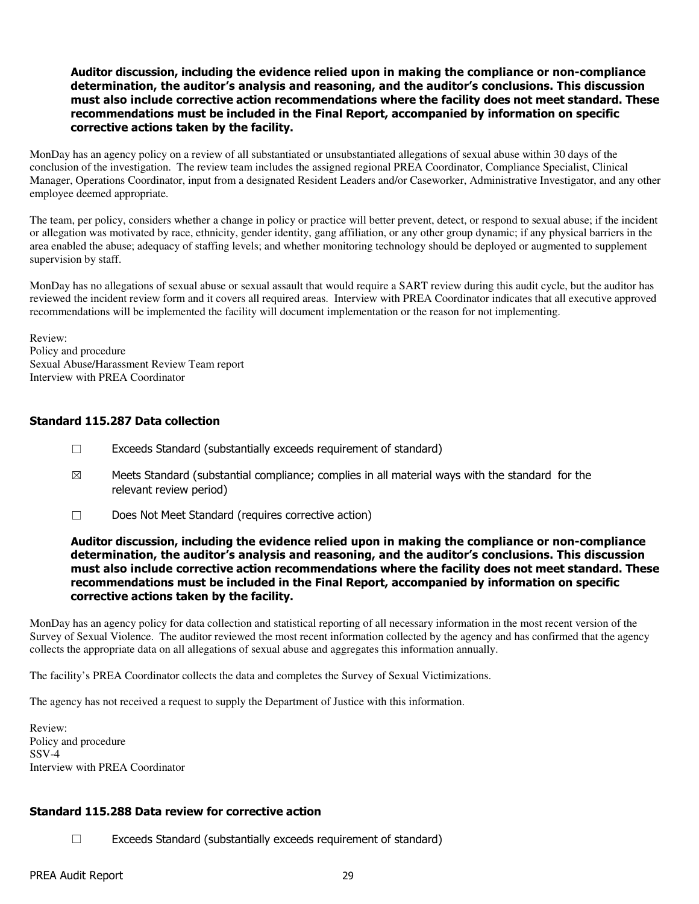#### Auditor discussion, including the evidence relied upon in making the compliance or non-compliance determination, the auditor's analysis and reasoning, and the auditor's conclusions. This discussion must also include corrective action recommendations where the facility does not meet standard. These recommendations must be included in the Final Report, accompanied by information on specific corrective actions taken by the facility.

MonDay has an agency policy on a review of all substantiated or unsubstantiated allegations of sexual abuse within 30 days of the conclusion of the investigation. The review team includes the assigned regional PREA Coordinator, Compliance Specialist, Clinical Manager, Operations Coordinator, input from a designated Resident Leaders and/or Caseworker, Administrative Investigator, and any other employee deemed appropriate.

The team, per policy, considers whether a change in policy or practice will better prevent, detect, or respond to sexual abuse; if the incident or allegation was motivated by race, ethnicity, gender identity, gang affiliation, or any other group dynamic; if any physical barriers in the area enabled the abuse; adequacy of staffing levels; and whether monitoring technology should be deployed or augmented to supplement supervision by staff.

MonDay has no allegations of sexual abuse or sexual assault that would require a SART review during this audit cycle, but the auditor has reviewed the incident review form and it covers all required areas. Interview with PREA Coordinator indicates that all executive approved recommendations will be implemented the facility will document implementation or the reason for not implementing.

Review: Policy and procedure Sexual Abuse/Harassment Review Team report Interview with PREA Coordinator

## Standard 115.287 Data collection

- ☐ Exceeds Standard (substantially exceeds requirement of standard)
- $\boxtimes$  Meets Standard (substantial compliance; complies in all material ways with the standard for the relevant review period)
- ☐ Does Not Meet Standard (requires corrective action)

#### Auditor discussion, including the evidence relied upon in making the compliance or non-compliance determination, the auditor's analysis and reasoning, and the auditor's conclusions. This discussion must also include corrective action recommendations where the facility does not meet standard. These recommendations must be included in the Final Report, accompanied by information on specific corrective actions taken by the facility.

MonDay has an agency policy for data collection and statistical reporting of all necessary information in the most recent version of the Survey of Sexual Violence. The auditor reviewed the most recent information collected by the agency and has confirmed that the agency collects the appropriate data on all allegations of sexual abuse and aggregates this information annually.

The facility's PREA Coordinator collects the data and completes the Survey of Sexual Victimizations.

The agency has not received a request to supply the Department of Justice with this information.

Review: Policy and procedure SSV-4 Interview with PREA Coordinator

# Standard 115.288 Data review for corrective action

☐ Exceeds Standard (substantially exceeds requirement of standard)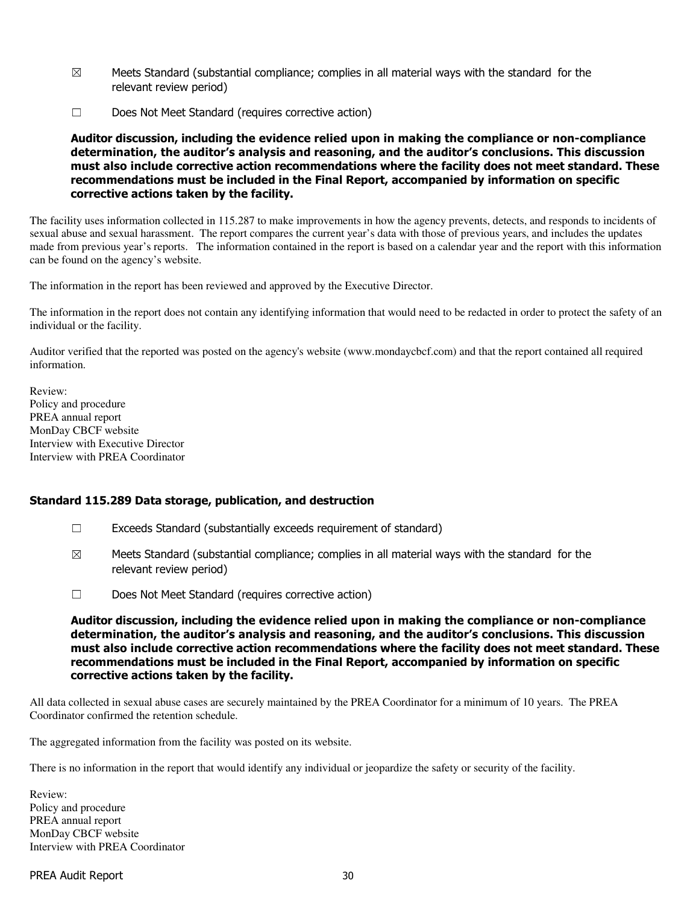- $\boxtimes$  Meets Standard (substantial compliance; complies in all material ways with the standard for the relevant review period)
- ☐ Does Not Meet Standard (requires corrective action)

Auditor discussion, including the evidence relied upon in making the compliance or non-compliance determination, the auditor's analysis and reasoning, and the auditor's conclusions. This discussion must also include corrective action recommendations where the facility does not meet standard. These recommendations must be included in the Final Report, accompanied by information on specific corrective actions taken by the facility.

The facility uses information collected in 115.287 to make improvements in how the agency prevents, detects, and responds to incidents of sexual abuse and sexual harassment. The report compares the current year's data with those of previous years, and includes the updates made from previous year's reports. The information contained in the report is based on a calendar year and the report with this information can be found on the agency's website.

The information in the report has been reviewed and approved by the Executive Director.

The information in the report does not contain any identifying information that would need to be redacted in order to protect the safety of an individual or the facility.

Auditor verified that the reported was posted on the agency's website (www.mondaycbcf.com) and that the report contained all required information.

Review: Policy and procedure PREA annual report MonDay CBCF website Interview with Executive Director Interview with PREA Coordinator

#### Standard 115.289 Data storage, publication, and destruction

- $\Box$  Exceeds Standard (substantially exceeds requirement of standard)
- $\boxtimes$  Meets Standard (substantial compliance; complies in all material ways with the standard for the relevant review period)
- ☐ Does Not Meet Standard (requires corrective action)

Auditor discussion, including the evidence relied upon in making the compliance or non-compliance determination, the auditor's analysis and reasoning, and the auditor's conclusions. This discussion must also include corrective action recommendations where the facility does not meet standard. These recommendations must be included in the Final Report, accompanied by information on specific corrective actions taken by the facility.

All data collected in sexual abuse cases are securely maintained by the PREA Coordinator for a minimum of 10 years. The PREA Coordinator confirmed the retention schedule.

The aggregated information from the facility was posted on its website.

There is no information in the report that would identify any individual or jeopardize the safety or security of the facility.

Review: Policy and procedure PREA annual report MonDay CBCF website Interview with PREA Coordinator